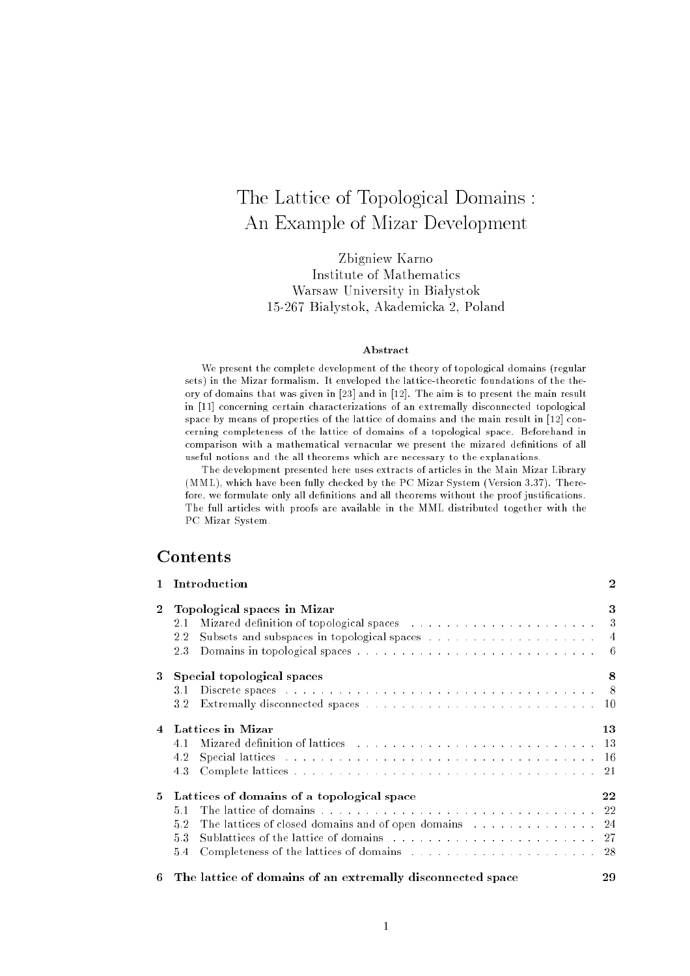# The Lattice of Topological Domains : An Example of Mizar Development

Zbigniew Karno Institute of Mathematics Warsaw University in Białystok 15-267 Białystok, Akademicka 2, Poland

### Abstract

We present the complete development of the theory of topological domains (regular sets) in the Mizar formalism. It enveloped the lattice-theoretic foundations of the theory of domains that was given in [23] and in [12]. The aim is to present the main result in [11] concerning certain characterizations of an extremally disconnected topological space by means of properties of the lattice of domains and the main result in [12] concerning completeness of the lattice of domains of a topological space. Beforehand in comparison with a mathematical vernacular we present the mizared denitions of all useful notions and the all theorems which are necessary to the explanations.

The development presented here uses extracts of articles in the Main Mizar Library (mentar  $\mu$  ), which have been fully checked by the PC Mizar System (Version 3.37). There is fore, we formulate only all denitions and all theorems without the proof justications. The full articles with proofs are available in the MML distributed together with the PC Mizar System.

 $\ddot{\mathbf{z}}$ 

## Contents

| $\mathbf{1}$   | Introduction                                                                                                                                                                                                                                                                       | $\overline{2}$ |
|----------------|------------------------------------------------------------------------------------------------------------------------------------------------------------------------------------------------------------------------------------------------------------------------------------|----------------|
| $\overline{2}$ | Topological spaces in Mizar<br>Mizared definition of topological spaces (a) and a set of the set of the space of the space of the set of the set of the set of the set of the set of the set of the set of the set of the set of the set of the set of the se<br>2.1<br>2.2<br>2.3 | 3              |
| 3.             | Special topological spaces                                                                                                                                                                                                                                                         | 8              |
|                | 3.1<br>3.2                                                                                                                                                                                                                                                                         |                |
| $\overline{4}$ | Lattices in Mizar                                                                                                                                                                                                                                                                  | 13             |
|                | Mizared definition of lattices entertainment in the contract of the set of the contract of the contract of the contract of the contract of the contract of the contract of the contract of the contract of the contract of the<br>41                                               |                |
|                | Special lattices entering the server in the server in the server in the server of the server in the server of the server of the server of the server of the server of the server of the server of the server of the server of<br>4.2                                               |                |
|                | 4.3                                                                                                                                                                                                                                                                                |                |
| 5.             | Lattices of domains of a topological space                                                                                                                                                                                                                                         | 22             |
|                | 51                                                                                                                                                                                                                                                                                 |                |
|                | The lattices of closed domains and of open domains with a subset of 24<br>52                                                                                                                                                                                                       |                |
|                | 5.3                                                                                                                                                                                                                                                                                |                |
|                | Completeness of the lattices of domains entering and solution of the lattices of domains entering and all the set of the set of the set of the set of the set of the set of the set of the set of the set of the set of the se<br>5.4                                              |                |
|                | $c$ The left: $f$ denotes of an estamanelle disconsisted except                                                                                                                                                                                                                    | ററ             |

6 The lattice of domains of an extremally disconnected space <sup>29</sup>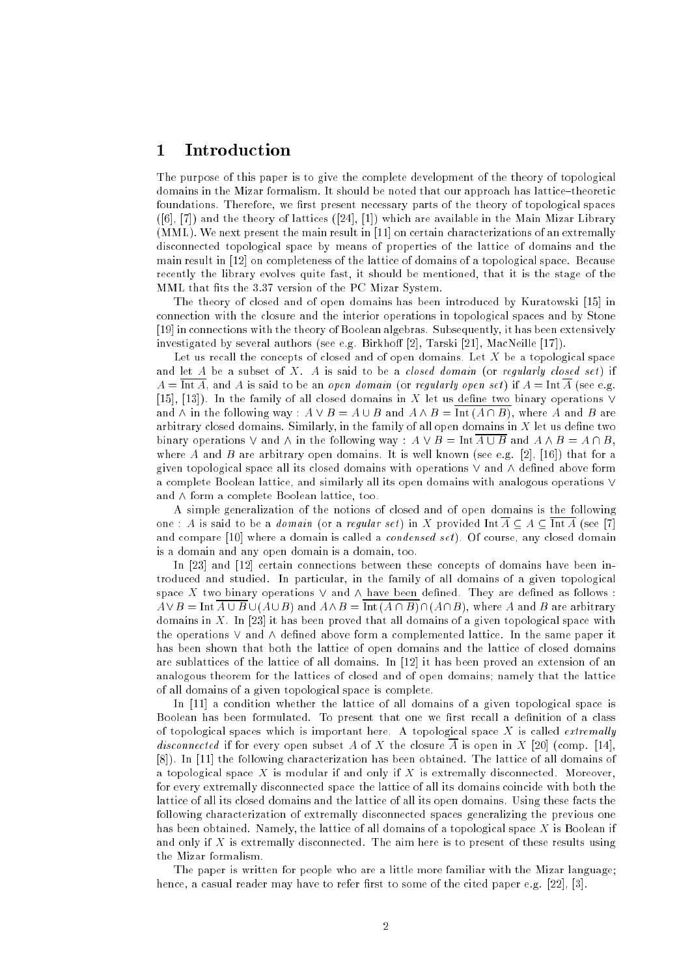# 1 Introduction

The purpose of this paper is to give the complete development of the theory of topological domains in the Mizar formalism. It should be noted that our approach has lattice-theoretic foundations. Therefore, we first present necessary parts of the theory of topological spaces ([6], [7]) and the theory of lattices ([24], [1]) which are available in the Main Mizar Library (MML). We next present the main result in [11] on certain characterizations of an extremally disconnected topological space by means of properties of the lattice of domains and the main result in [12] on completeness of the lattice of domains of a topological space. Because recently the library evolves quite fast, it should be mentioned, that it is the stage of the MML that fits the 3.37 version of the PC Mizar System.

The theory of closed and of open domains has been introduced by Kuratowski [15] in connection with the closure and the interior operations in topological spaces and by Stone [19] in connections with the theory of Boolean algebras. Subsequently, it has been extensively investigated by several authors (see e.g. Birkhoff [2], Tarski [21], MacNeille [17]).

Let us recall the concepts of closed and of open domains. Let  $X$  be a topological space and let  $A$  be a subset of  $X$ .  $A$  is said to be a *closed domain* (or *regularly closed set*) if  $A = \overline{\text{Int }A}$ , and A is said to be an *open domain* (or *regularly open set*) if  $A = \text{Int }A$  (see e.g. [15], [13]). In the family of all closed domains in X let us define two binary operations  $\vee$ and  $\wedge$  in the following way :  $A \vee B = A \cup B$  and  $A \wedge B = \text{Int} (A \cap B)$ , where A and B are arbitrary closed domains. Similarly, in the family of all open domains in  $X$  let us define two binary operations  $\vee$  and  $\wedge$  in the following way :  $A \vee B = \text{Int } \overline{A \cup B}$  and  $A \wedge B = A \cap B$ , where A and B are arbitrary open domains. It is well known (see e.g. [2], [16]) that for a given topological space all its closed domains with operations  $\vee$  and  $\wedge$  defined above form a complete Boolean lattice, and similarly all its open domains with analogous operations  $\vee$ and  $\wedge$  form a complete Boolean lattice, too.

A simple generalization of the notions of closed and of open domains is the following one : A is said to be a *domain* (or a regular set) in X provided  $\text{Int } \overline{A} \subset A \subset \overline{\text{Int } A}$  (see [7] and compare  $[10]$  where a domain is called a *condensed set*). Of course, any closed domain is a domain and any open domain is a domain, too.

In [23] and [12] certain connections between these concepts of domains have been introduced and studied. In particular, in the family of all domains of a given topological space  $X$  two binary operations  $\vee$  and  $\wedge$  have been defined. They are defined as follows :  $A \vee B = \text{Int } \overline{A \cup B} \cup (A \cup B)$  and  $A \wedge B = \text{Int } (A \cap \overline{B}) \cap (A \cap B)$ , where A and B are arbitrary domains in X. In [23] it has been proved that all domains of a given topological space with the operations  $\vee$  and  $\wedge$  defined above form a complemented lattice. In the same paper it has been shown that both the lattice of open domains and the lattice of closed domains are sublattices of the lattice of all domains. In [12] it has been proved an extension of an analogous theorem for the lattices of closed and of open domains; namely that the lattice of all domains of a given topological space is complete.

In [11] a condition whether the lattice of all domains of a given topological space is Boolean has been formulated. To present that one we first recall a definition of a class of topological spaces which is important here. A topological space X is called *extremally* disconnected if for every open subset A of X the closure  $\overline{A}$  is open in X [20] (comp. [14], [8]). In [11] the following characterization has been obtained. The lattice of all domains of a topological space X is modular if and only if X is extremally disconnected. Moreover, for every extremally disconnected space the lattice of all its domains coincide with both the lattice of all its closed domains and the lattice of all its open domains. Using these facts the following characterization of extremally disconnected spaces generalizing the previous one has been obtained. Namely, the lattice of all domains of a topological space X is Boolean if and only if  $X$  is extremally disconnected. The aim here is to present of these results using the Mizar formalism.

The paper is written for people who are a little more familiar with the Mizar language; hence, a casual reader may have to refer first to some of the cited paper e.g.  $[22]$ ,  $[3]$ .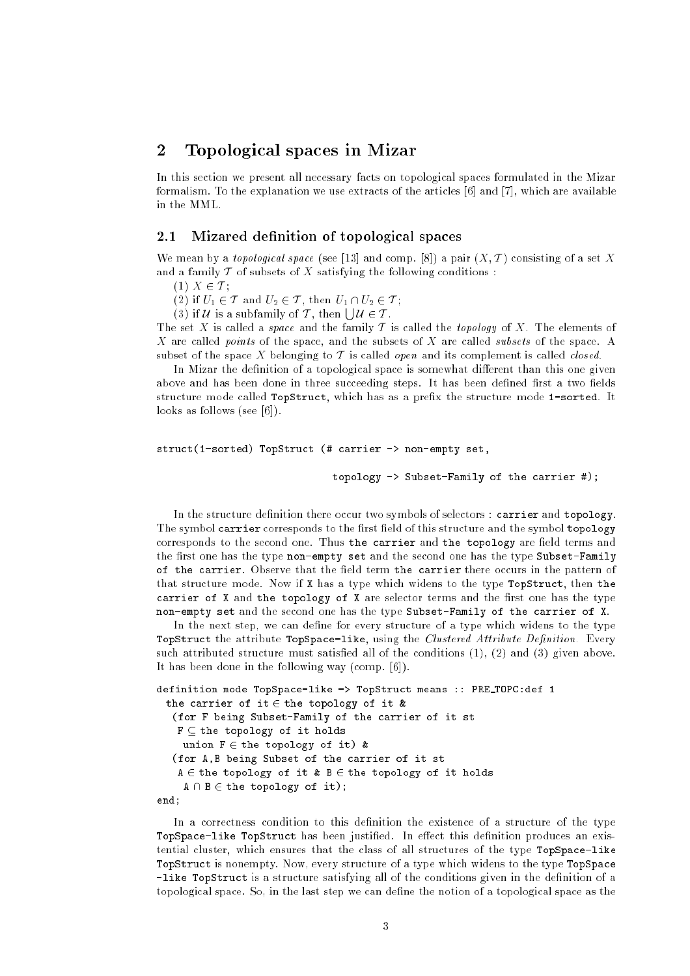# 2 Topological spaces in Mizar

In this section we present all necessary facts on topological spaces formulated in the Mizar formalism. To the explanation we use extracts of the articles [6] and [7], which are available in the MML.

#### 2.1Mizared denition of topological spaces

We mean by a topological space (see [13] and comp. [8]) a pair  $(X, \mathcal{T})$  consisting of a set X and a family  $T$  of subsets of  $X$  satisfying the following conditions :

(1)  $X \in \mathcal{T}$ ;

(2) if  $U_1 \in \mathcal{T}$  and  $U_2 \in \mathcal{T}$ , then  $U_1 \cap U_2 \in \mathcal{T}$ ;

(3) if U is a subfamily of T, then  $\vert \, \vert \, \mathcal{U} \in \mathcal{T}$ .

The set X is called a *space* and the family T is called the *topology* of X. The elements of X are called *points* of the space, and the subsets of X are called *subsets* of the space. A subset of the space X belonging to  $T$  is called *open* and its complement is called *closed*.

In Mizar the definition of a topological space is somewhat different than this one given above and has been done in three succeeding steps. It has been defined first a two fields structure mode called TopStruct, which has as a prefix the structure mode 1-sorted. It looks as follows (see [6]).

```
struct(1-sorted) TopStruct (# carrier -> non-empty set,
```
topology  $\rightarrow$  Subset-Family of the carrier #);

In the structure definition there occur two symbols of selectors : carrier and topology. The symbol carrier corresponds to the first field of this structure and the symbol topology corresponds to the second one. Thus the carrier and the topology are field terms and the first one has the type non-empty set and the second one has the type Subset-Family of the carrier. Observe that the field term the carrier there occurs in the pattern of that structure mode. Now if X has a type which widens to the type TopStruct, then the carrier of  $X$  and the topology of  $X$  are selector terms and the first one has the type non-empty set and the second one has the type Subset-Family of the carrier of X.

In the next step, we can define for every structure of a type which widens to the type TopStruct the attribute TopSpace-like, using the Clustered Attribute Definition. Every such attributed structure must satisfied all of the conditions  $(1)$ ,  $(2)$  and  $(3)$  given above. It has been done in the following way (comp. [6]).

```
definition mode TopSpace-like -> TopStruct means :: PRE TOPC:def 1
 the carrier of it \in the topology of it &
   (for F being Subset-Family of the carrier of it st
   F \subseteq the topology of it holds
    union F \in the topology of it) &
   (for A,B being Subset of the carrier of it st
   A \in the topology of it & B \in the topology of it holds
     A \cap B \in \text{the topology of it};end;
```
In a correctness condition to this definition the existence of a structure of the type TopSpace-like TopStruct has been justified. In effect this definition produces an existential cluster, which ensures that the class of all structures of the type TopSpace-like TopStruct is nonempty. Now, every structure of a type which widens to the type TopSpace -like TopStruct is a structure satisfying all of the conditions given in the definition of a topological space. So, in the last step we can define the notion of a topological space as the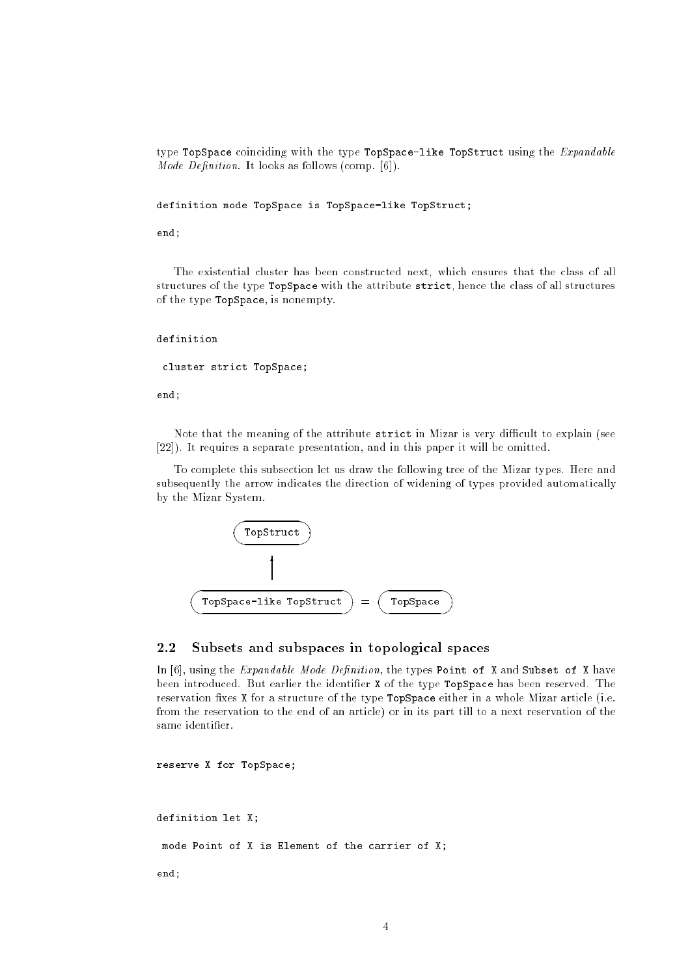type TopSpace coinciding with the type TopSpace-like TopStruct using the *Expandable Mode Definition*. It looks as follows (comp.  $[6]$ ).

definition mode TopSpace is TopSpace-like TopStruct;

end;

The existential cluster has been constructed next, which ensures that the class of all structures of the type TopSpace with the attribute strict, hence the class of all structures of the type TopSpace, is nonempty.

## definition

cluster strict TopSpace;

end;

Note that the meaning of the attribute strict in Mizar is very difficult to explain (see [22]). It requires a separate presentation, and in this paper it will be omitted.

To complete this subsection let us draw the following tree of the Mizar types. Here and subsequently the arrow indicates the direction of widening of types provided automatically by the Mizar System.



#### 2.2Subsets and subspaces in topological spaces

In  $[6]$ , using the *Expandable Mode Definition*, the types Point of X and Subset of X have been introduced. But earlier the identifier X of the type TopSpace has been reserved. The reservation fixes X for a structure of the type TopSpace either in a whole Mizar article (i.e. from the reservation to the end of an article) or in its part till to a next reservation of the same identier.

reserve X for TopSpace;

```
definition let X;
 mode Point of X is Element of the carrier of X;
end;
```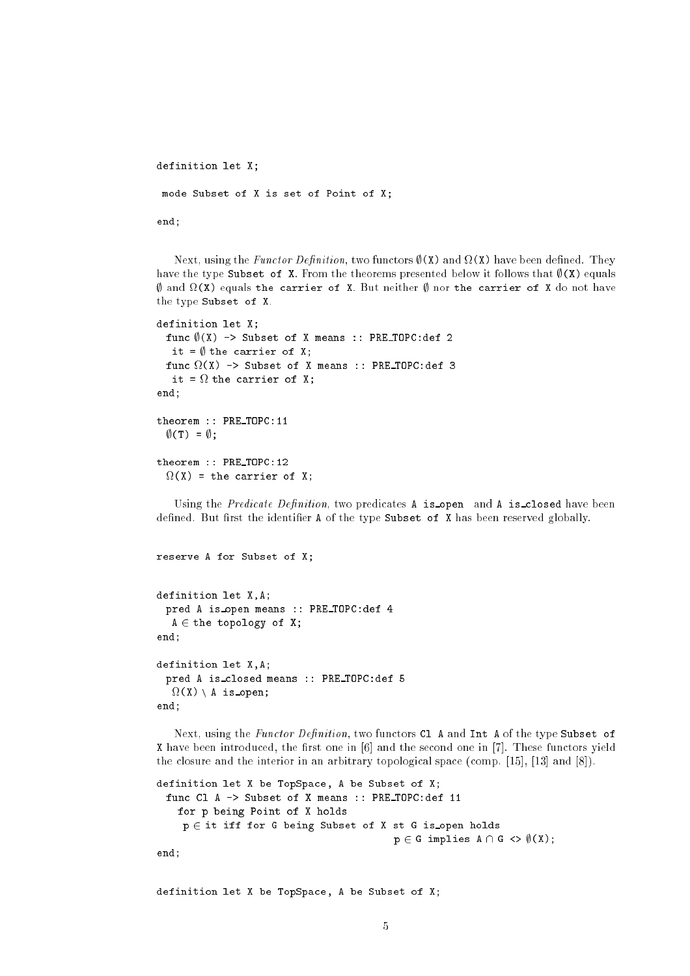```
definition let X;
 mode Subset of X is set of Point of X;
end;
```
Next, using the Functor Denition, two functors ;(X) and (X) have been dened. They have the type Subset of X. From the theorems presented below it follows that  $\theta(X)$  equals , and  $\alpha$  , and the carrier of  $X$  and  $X$  arrivers  $\mu$  arrivers  $\mu$  arrivers  $\mu$  arrivers  $\mu$ the type Subset of X.

```
definition let X;
   func \emptyset (X) -> Subset of X means :: PRE_TOPC:def 2
      it = \emptyset the carrier of X;
    function \mathcal{N} -subset of \mathcal{N} means :: \mathcal{N} means :: \mathcal{N} means :: \mathcal{N} means :: \mathcal{N} means :: \mathcal{N} means :: \mathcal{N} means :: \mathcal{N} means :: \mathcal{N} means :: \mathcal{N} means :: \mathcal{N} mea
      it = 
 the carrier of X;
end;
theorem :: PRE TOPC:11
   \emptyset(T) = \emptyset;
```

```
theorem :: PRE TOPC:12
   (X) \sim the carrier of \sim the carrier of \sim the carrier of \sim
```
Using the *Predicate Definition*, two predicates  $A$  is open and  $A$  is closed have been defined. But first the identifier A of the type Subset of X has been reserved globally.

```
reserve A for Subset of X;
```

```
definition let X,A;
 pred A is open means :: PRE TOPC:def 4
  A \in the topology of X;
end;
definition let X,A;
 pred A is closed means :: PRE TOPC:def 5

(X) n A is open;
end;
```
Next, using the Functor Definition, two functors  $C1$  A and Int A of the type Subset of X have been introduced, the first one in [6] and the second one in [7]. These functors yield the closure and the interior in an arbitrary topological space (comp. [15], [13] and [8]).

```
definition let X be TopSpace, A be Subset of X;
 func Cl A -> Subset of X means :: PRE TOPC:def 11
   for p being Point of X holds
    p \in it iff for G being Subset of X st G is open holds
                                           p \in G implies A \cap G \iff \emptyset(X);
```
end;

definition let X be TopSpace, A be Subset of X;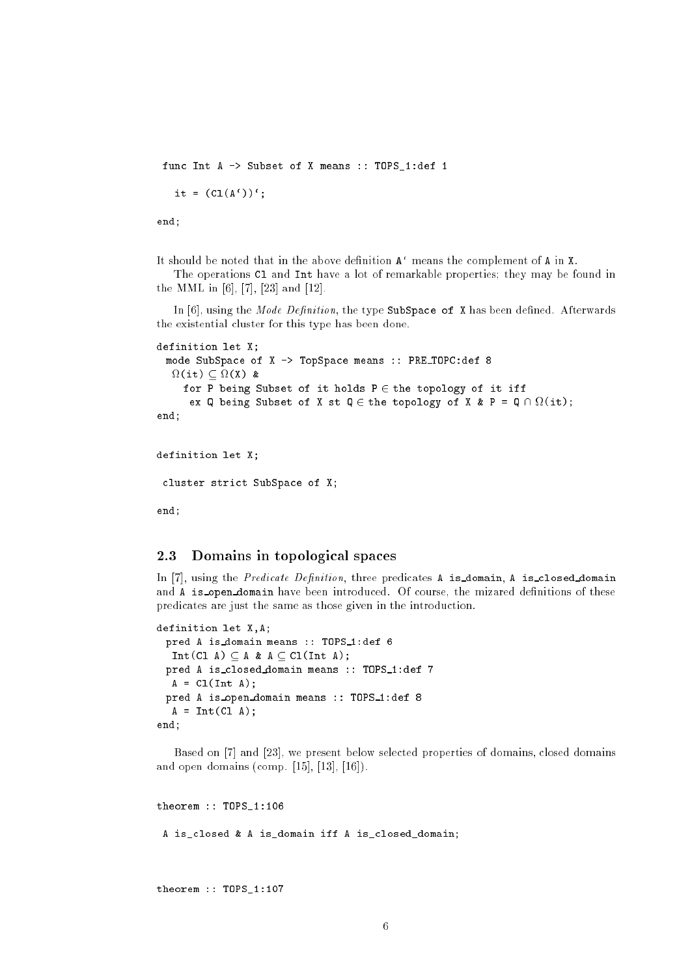func Int A -> Subset of X means :: TOPS\_1:def 1

it =  $(Cl(A'))$ 

end;

It should be noted that in the above definition  $A'$  means the complement of A in X.

The operations C1 and Int have a lot of remarkable properties; they may be found in the MML in [6], [7], [23] and [12].

In  $[6]$ , using the *Mode Definition*, the type SubSpace of X has been defined. Afterwards the existential cluster for this type has been done.

```
definition let X;
 mode SubSpace of X -> TopSpace means :: PRE TOPC:def 8

(it)  
(X) &
     for P being Subset of it holds P \in the topology of it iff
      ex q being subset of \mu and \mu and \mu are \mu the \mu and \mu and \mu and \mu and \muend;
```

```
definition let X;
 cluster strict SubSpace of X;
end;
```
#### 2.3 Domains in topological spaces

In  $[7]$ , using the *Predicate Definition*, three predicates A is domain, A is closed domain and A is open domain have been introduced. Of course, the mizared definitions of these predicates are just the same as those given in the introduction.

```
definition let X,A;
 pred A is domain means :: TOPS_1:def 6
  Int(Cl A) \subset A & A \subset Cl(Int A);
 pred A is_closed_domain means :: TOPS_1:def 7
  A = C1(int A);pred A is open domain means :: TOPS 1:def 8
  A = Int(Cl A);end;
```
Based on [7] and [23], we present below selected properties of domains, closed domains and open domains (comp. [15], [13], [16]).

theorem :: TOPS\_1:106 A is closed & A is domain iff A is closed domain;

theorem :: TOPS\_1:107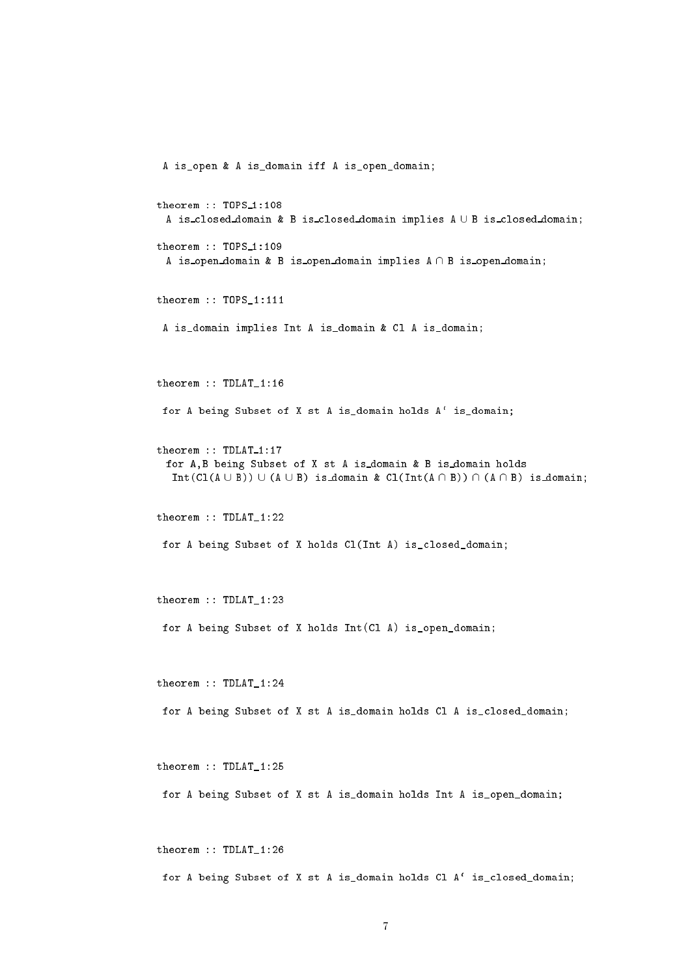```
A is_open & A is_domain iff A is_open_domain;
theorem :: TOPS_1:108A is_closed_domain & B is_closed_domain implies A \cup B is_closed_domain;
theorem :: TOPS_1:109
 A is open domain & B is open domain implies A \cap B is open domain;
theorem :: TOPS_1:111
 A is_domain implies Int A is_domain & Cl A is_domain;
theorem :: TDLAT_1:16
for A being Subset of X st A is_domain holds A` is_domain;
theorem :: TDLAT_1:17
 for A,B being Subset of X st A is domain & B is domain holds
  Int(Cl(A \cup B)) \cup (A \cup B) is domain & Cl(Int(A \cap B)) \cap (A \cap B) is domain;
theorem :: TDLAT_1:22
for A being Subset of X holds Cl(Int A) is_closed_domain;
theorem :: TDLAT_1:23
for A being Subset of X holds Int(Cl A) is_open_domain;
theorem :: TDLAT_1:24
for A being Subset of X st A is_domain holds Cl A is_closed_domain;
theorem :: TDLAT_1:25
for A being Subset of X st A is_domain holds Int A is_open_domain;
theorem :: TDLAT_1:26
```
for A being Subset of X st A is\_domain holds Cl A` is\_closed\_domain;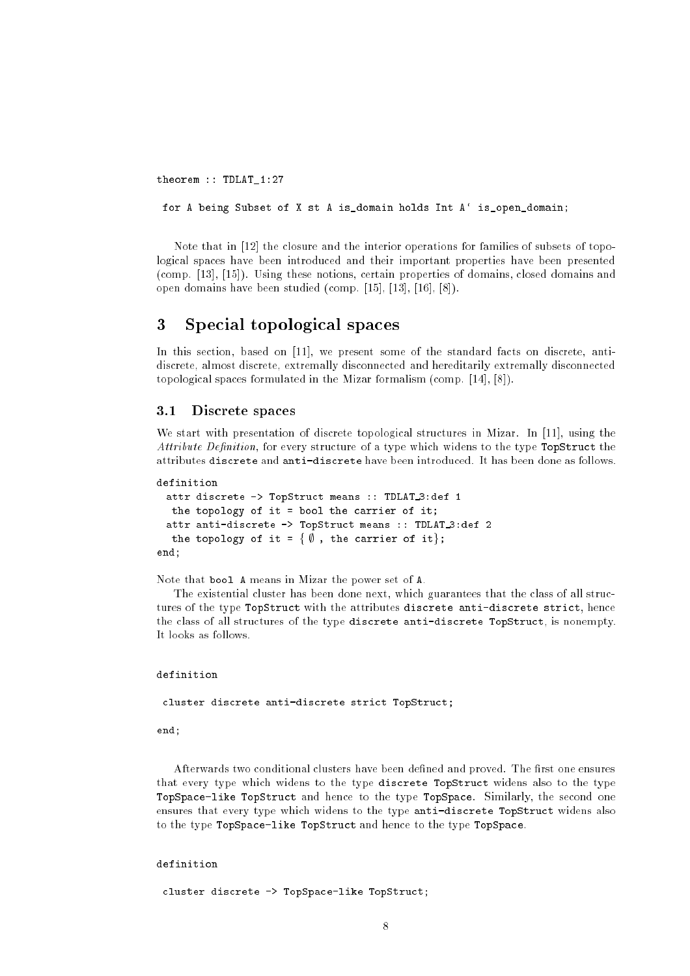theorem :: TDLAT\_1:27

for A being Subset of X st A is\_domain holds Int A` is\_open\_domain;

Note that in [12] the closure and the interior operations for families of subsets of topological spaces have been introduced and their important properties have been presented (comp. [13], [15]). Using these notions, certain properties of domains, closed domains and open domains have been studied (comp. [15], [13], [16], [8]).

#### 3 3 Special topological spaces

In this section, based on [11], we present some of the standard facts on discrete, antidiscrete, almost discrete, extremally disconnected and hereditarily extremally disconnected topological spaces formulated in the Mizar formalism (comp. [14], [8]).

#### $3.1$ Discrete spaces

We start with presentation of discrete topological structures in Mizar. In [11], using the Attribute Definition, for every structure of a type which widens to the type TopStruct the attributes discrete and anti-discrete have been introduced. It has been done as follows.

```
definition
```

```
attr discrete -> TopStruct means :: TDLAT_3:def 1
  the topology of it = bool the carrier of it;
 attr anti-discrete -> TopStruct means :: TDLAT 3:def 2
  the topology of it = \{\emptyset, the carrier of it};
end;
```
Note that bool A means in Mizar the power set of A.

The existential cluster has been done next, which guarantees that the class of all structures of the type TopStruct with the attributes discrete anti-discrete strict, hence the class of all structures of the type discrete anti-discrete TopStruct, is nonempty. It looks as follows.

### definition

cluster discrete anti-discrete strict TopStruct;

end;

Afterwards two conditional clusters have been defined and proved. The first one ensures that every type which widens to the type discrete TopStruct widens also to the type TopSpace-like TopStruct and hence to the type TopSpace. Similarly, the second one ensures that every type which widens to the type anti-discrete TopStruct widens also to the type TopSpace-like TopStruct and hence to the type TopSpace.

## definition

cluster discrete -> TopSpace-like TopStruct;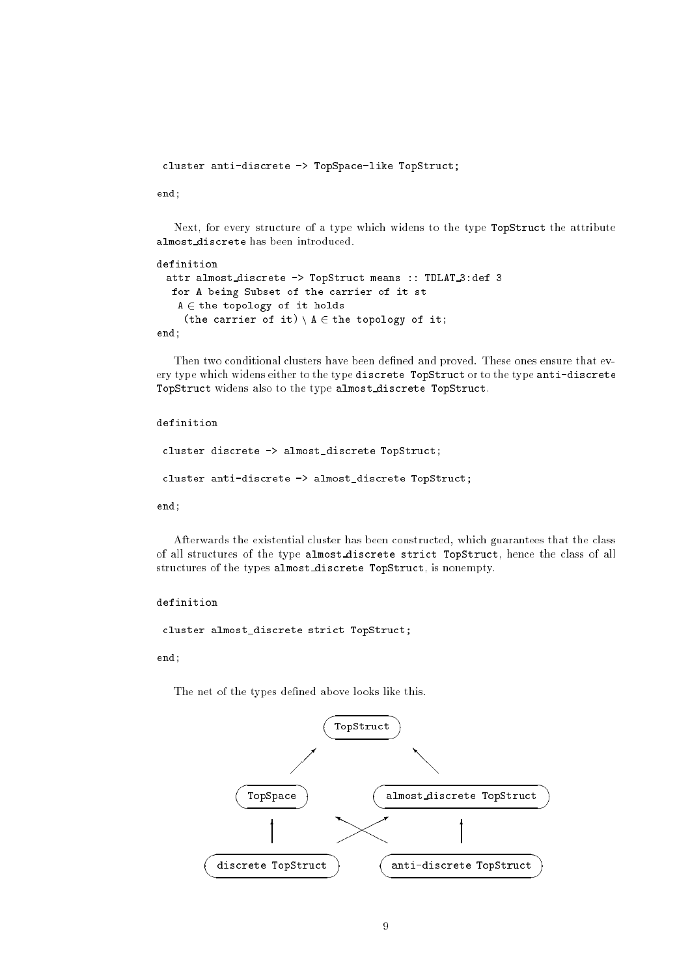cluster anti-discrete -> TopSpace-like TopStruct;

end;

Next, for every structure of a type which widens to the type TopStruct the attribute almost discrete has been introduced.

```
definition
 attr almost_discrete -> TopStruct means :: TDLAT_3:def 3
  for A being Subset of the carrier of it st
   A \in the topology of it holds
    (the carrier of it) A \in the topology of it;
end;
```
Then two conditional clusters have been defined and proved. These ones ensure that every type which widens either to the type discrete TopStruct or to the type anti-discrete TopStruct widens also to the type almost discrete TopStruct.

## definition

```
cluster discrete -> almost_discrete TopStruct;
cluster anti-discrete -> almost_discrete TopStruct;
```
end;

Afterwards the existential cluster has been constructed, which guarantees that the class of all structures of the type almost discrete strict TopStruct, hence the class of all structures of the types almost discrete TopStruct, is nonempty.

## definition

cluster almost\_discrete strict TopStruct;

end;

The net of the types defined above looks like this.

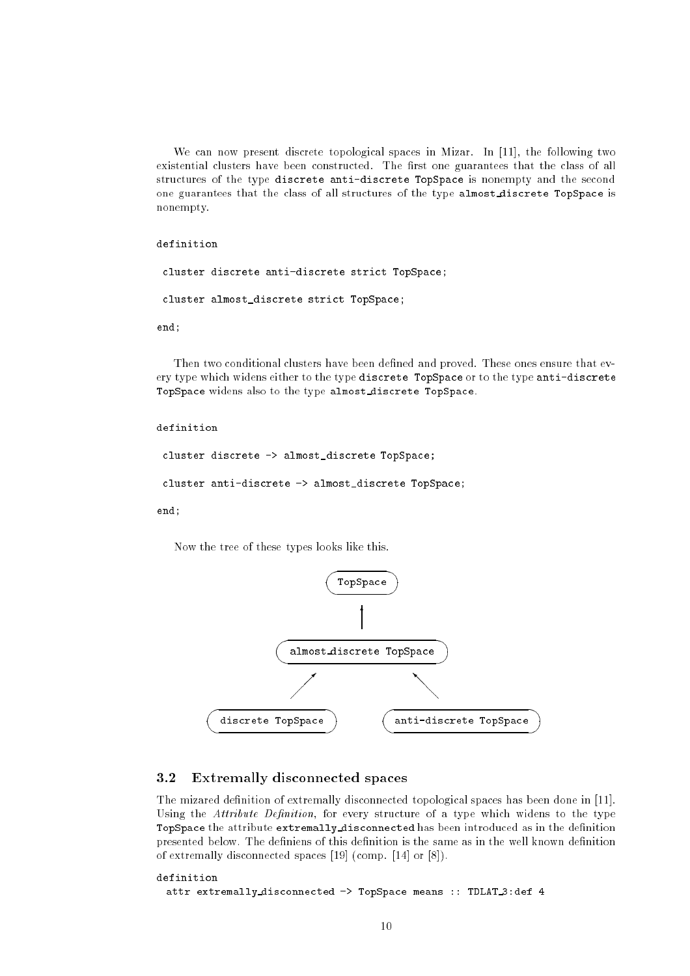We can now present discrete topological spaces in Mizar. In [11], the following two existential clusters have been constructed. The first one guarantees that the class of all structures of the type discrete anti-discrete TopSpace is nonempty and the second one guarantees that the class of all structures of the type almost discrete TopSpace is nonempty.

### definition

```
cluster discrete anti-discrete strict TopSpace;
```

```
cluster almost_discrete strict TopSpace;
```
end: end; and the contract of the contract of the contract of the contract of the contract of the contract of the contract of the contract of the contract of the contract of the contract of the contract of the contract of the c

Then two conditional clusters have been defined and proved. These ones ensure that every type which widens either to the type discrete TopSpace or to the type anti-discrete TopSpace widens also to the type almost discrete TopSpace.

```
cluster discrete -> almost_discrete TopSpace;
cluster anti-discrete -> almost_discrete TopSpace;
```
end;

Now the tree of these types looks like this.



#### 3.2Extremally disconnected spaces

The mizared definition of extremally disconnected topological spaces has been done in [11]. Using the Attribute Definition, for every structure of a type which widens to the type TopSpace the attribute extremally disconnected has been introduced as in the definition presented below. The definiens of this definition is the same as in the well known definition of extremally disconnected spaces [19] (comp. [14] or [8]).

```
definition
 attr extremally disconnected -> TopSpace means :: TDLAT 3:def 4
```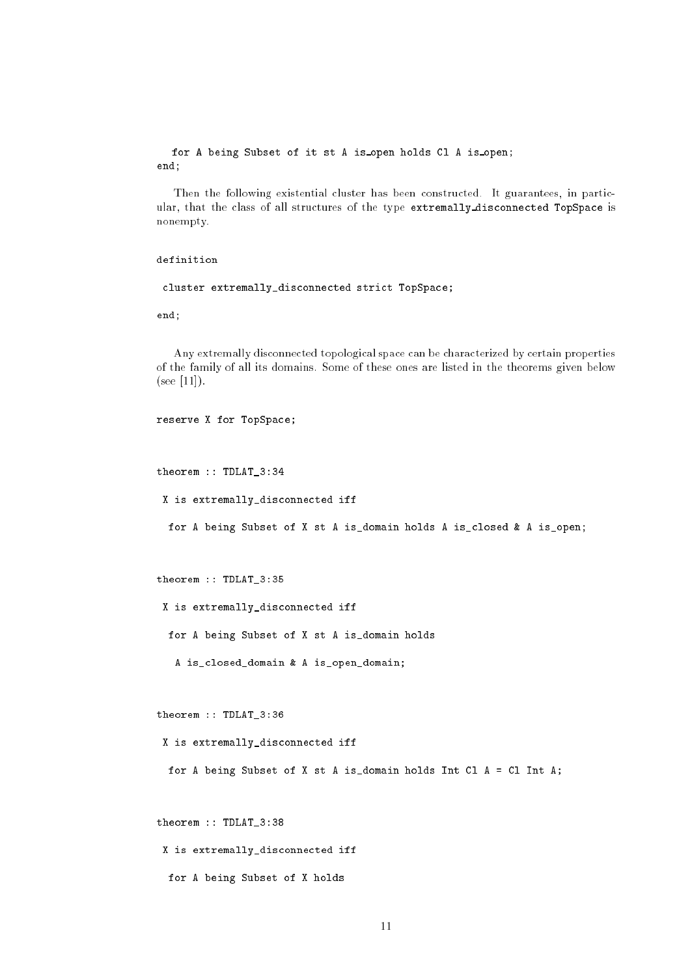## for A being Subset of it st A is open holds Cl A is open; end;

Then the following existential cluster has been constructed. It guarantees, in particular, that the class of all structures of the type extremally disconnected TopSpace is nonempty.

## definition

cluster extremally\_disconnected strict TopSpace;

end;

Any extremally disconnected topological space can be characterized by certain properties of the family of all its domains. Some of these ones are listed in the theorems given below  $(see [11]).$ 

```
reserve X for TopSpace;
```

```
theorem :: TDLAT_3:34
```
X is extremally\_disconnected iff

for A being Subset of X st A is\_domain holds A is\_closed & A is\_open;

```
theorem :: TDLAT_3:35
```
X is extremally\_disconnected iff

for A being Subset of X st A is\_domain holds

A is\_closed\_domain & A is\_open\_domain;

theorem :: TDLAT\_3:36

X is extremally\_disconnected iff

for A being Subset of X st A is\_domain holds Int Cl A = Cl Int A;

theorem :: TDLAT\_3:38

X is extremally\_disconnected iff

for A being Subset of X holds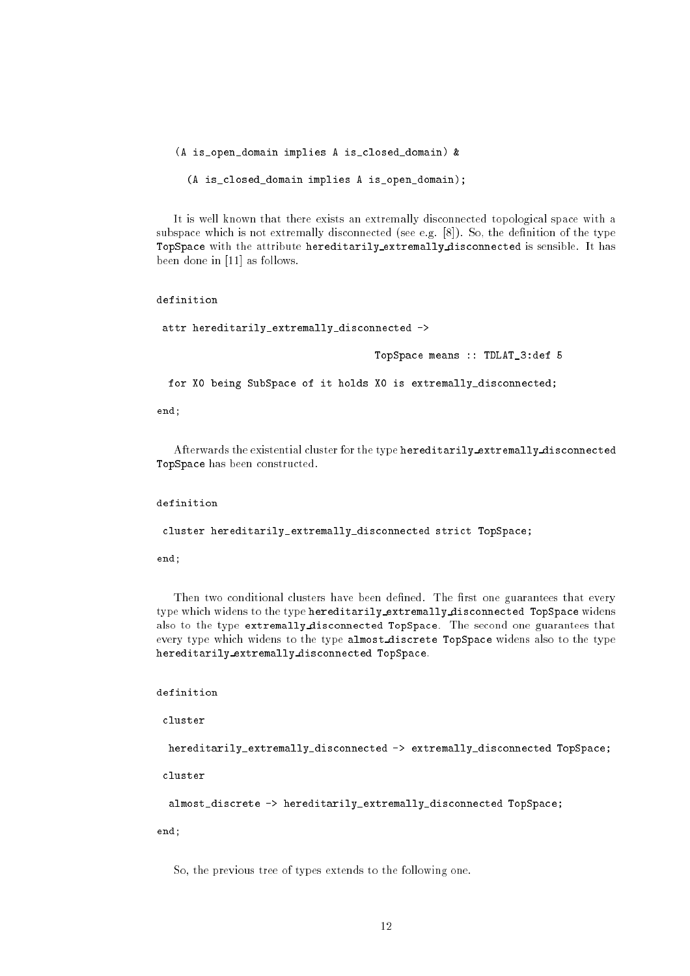(A is\_open\_domain implies A is\_closed\_domain) &

(A is\_closed\_domain implies A is\_open\_domain);

It is well known that there exists an extremally disconnected topological space with a subspace which is not extremally disconnected (see e.g.  $[8]$ ). So, the definition of the type TopSpace with the attribute hereditarily extremally disconnected is sensible. It has been done in [11] as follows.

definition

attr hereditarily\_extremally\_disconnected ->

TopSpace means :: TDLAT\_3:def 5

for X0 being SubSpace of it holds X0 is extremally\_disconnected;

end;

Afterwards the existential cluster for the type hereditarily extremally disconnected TopSpace has been constructed.

definition

cluster hereditarily\_extremally\_disconnected strict TopSpace;

end;

Then two conditional clusters have been defined. The first one guarantees that every type which widens to the type hereditarily extremally disconnected TopSpace widens also to the type extremally disconnected TopSpace. The second one guarantees that every type which widens to the type almost discrete TopSpace widens also to the type hereditarily extremally disconnected TopSpace.

definition

cluster

hereditarily\_extremally\_disconnected -> extremally\_disconnected TopSpace;

cluster

almost\_discrete -> hereditarily\_extremally\_disconnected TopSpace;

end;

So, the previous tree of types extends to the following one.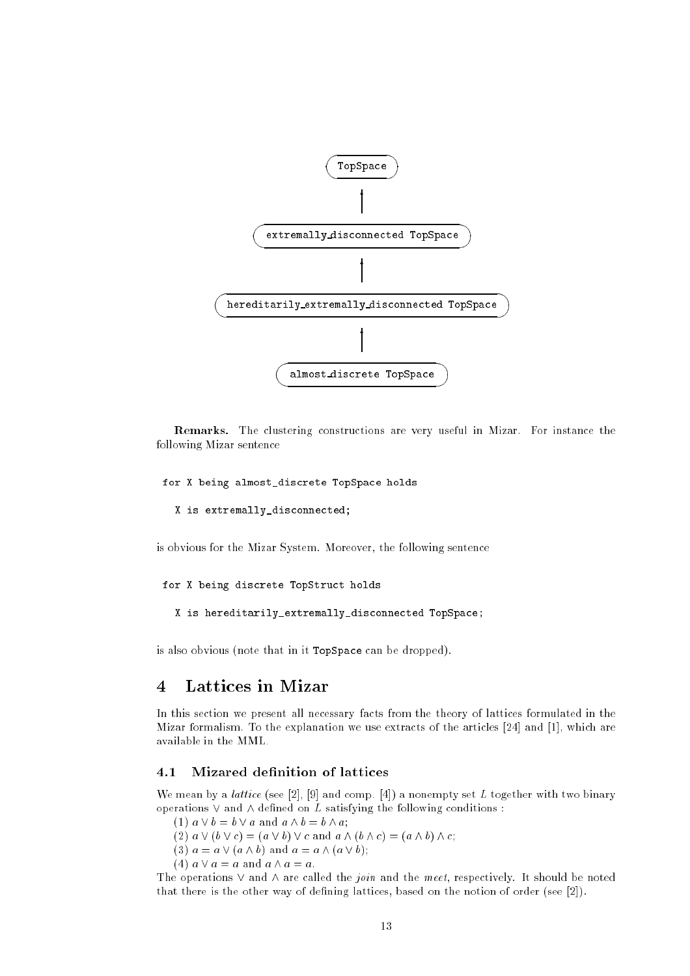

Remarks. The clustering constructions are very useful in Mizar. For instance the following Mizar sentence

```
for X being almost_discrete TopSpace holds
```

```
X is extremally_disconnected;
```
is obvious for the Mizar System. Moreover, the following sentence

```
for X being discrete TopStruct holds
```

```
X is hereditarily_extremally_disconnected TopSpace;
```
is also obvious (note that in it TopSpace can be dropped).

# 4 Lattices in Mizar

In this section we present all necessary facts from the theory of lattices formulated in the Mizar formalism. To the explanation we use extracts of the articles [24] and [1], which are available in the MML.

#### $4.1$ Mizared definition of lattices

We mean by a *lattice* (see [2], [9] and comp. [4]) a nonempty set L together with two binary operations  $\vee$  and  $\wedge$  defined on L satisfying the following conditions :

(1)  $a \vee b = b \vee a$  and  $a \wedge b = b \wedge a$ ;

(2)  $a \vee (b \vee c) = (a \vee b) \vee c$  and  $a \wedge (b \wedge c) = (a \wedge b) \wedge c$ ;

(3)  $a = a \vee (a \wedge b)$  and  $a = a \wedge (a \vee b);$ 

(4)  $a \vee a = a$  and  $a \wedge a = a$ .

The operations  $\vee$  and  $\wedge$  are called the *join* and the meet, respectively. It should be noted that there is the other way of defining lattices, based on the notion of order (see [2]).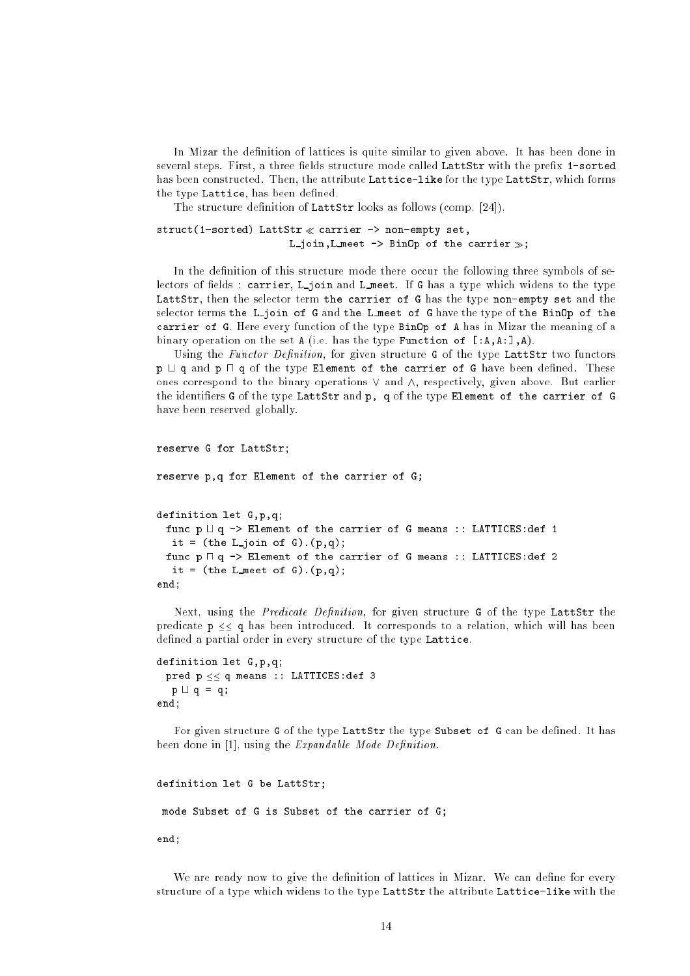In Mizar the definition of lattices is quite similar to given above. It has been done in several steps. First, a three fields structure mode called LattStr with the prefix 1-sorted has been constructed. Then, the attribute Lattice-like for the type LattStr, which forms the type Lattice, has been defined.

The structure definition of LattStr looks as follows (comp. [24]).

```
struct(1-sorted) LattStr \ll carrier -> non-empty set,
                         L_join, L_meet \rightarrow BinOp of the carrier \gg;
```
In the definition of this structure mode there occur the following three symbols of selectors of fields : carrier, L\_join and L\_meet. If G has a type which widens to the type LattStr, then the selector term the carrier of G has the type non-empty set and the selector terms the L join of G and the L meet of G have the type of the BinOp of the carrier of G. Here every function of the type BinOp of A has in Mizar the meaning of a binary operation on the set  $A$  (i.e. has the type Function of  $[A, A:], A$ ).

Using the Functor Definition, for given structure  $G$  of the type LattStr two functors  $p \sqcup q$  and  $p \sqcap q$  of the type Element of the carrier of G have been defined. These ones correspond to the binary operations  $\vee$  and  $\wedge$ , respectively, given above. But earlier the identiers G of the type LattStr and p, q of the type Element of the carrier of G have been reserved globally.

```
reserve G for LattStr;
```

```
reserve p,q for Element of the carrier of G;
definition let G,p,q;
 func p \sqcup q -> Element of the carrier of G means :: LATTICES:def 1
   it = (the L_join of G).(p,q);
 func p \sqcap q \rightarrow Element of the carrier of G means :: LATTICES:def 2
  it = (the L meet of G).(p,q);
```
end;

Next, using the Predicate Definition, for given structure G of the type LattStr the predicate  $p \leq q$  has been introduced. It corresponds to a relation, which will has been defined a partial order in every structure of the type Lattice.

```
definition let G,p,q;
 pred p \leq \leq q means :: LATTICES: def 3
  p \cup q = q;
end;
```
For given structure G of the type LattStr the type Subset of G can be defined. It has been done in [1], using the  $Expandable$  Mode Definition.

```
definition let G be LattStr;
 mode Subset of G is Subset of the carrier of G;
end;
```
We are ready now to give the definition of lattices in Mizar. We can define for every structure of a type which widens to the type LattStr the attribute Lattice-like with the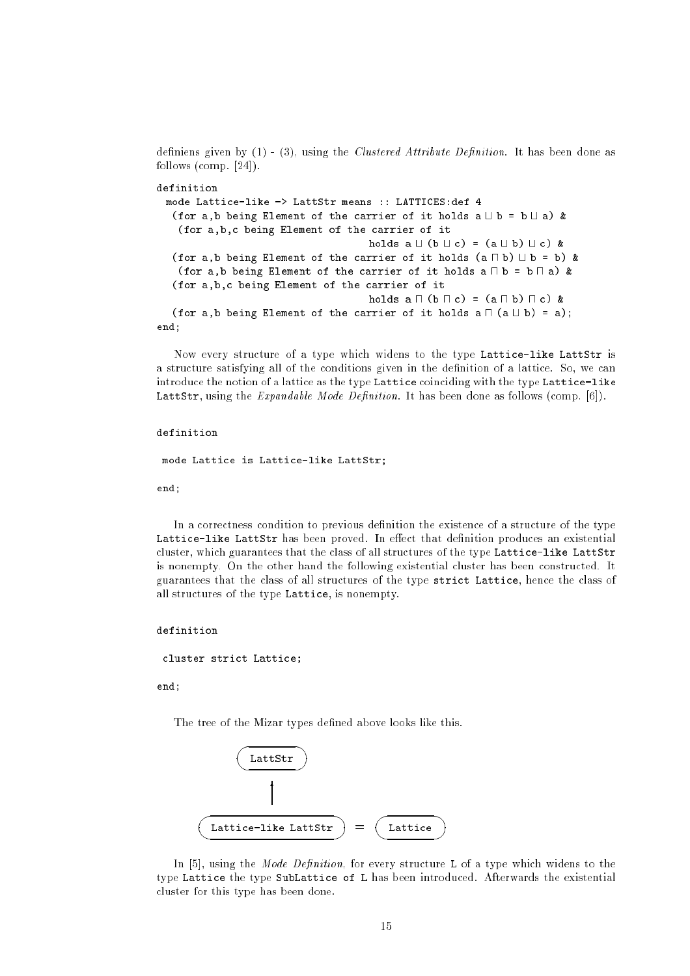definiens given by  $(1)$  -  $(3)$ , using the *Clustered Attribute Definition*. It has been done as follows (comp. [24]).

```
definition
 mode Lattice-like -> LattStr means :: LATTICES:def 4
   (for a,b being Element of the carrier of it holds a \sqcup b = b \sqcup a) &
    (for a,b,c being Element of the carrier of it
                                         holds a \sqcup (b \sqcup c) = (a \sqcup b) \sqcup c) &
   (for a,b being Element of the carrier of it holds (a \sqcap b) \sqcup b = b) &
    (for a,b being Element of the carrier of it holds a \sqcap b = b \sqcap a) &
   (for a,b,c being Element of the carrier of it
                                         holds a \sqcap (b \sqcap c) = (a \sqcap b) \sqcap c) &
   (for a,b being Element of the carrier of it holds a \sqcap (a \sqcup b) = a);
end;
```
Now every structure of a type which widens to the type Lattice-like LattStr is a structure satisfying all of the conditions given in the denition of a lattice. So, we can introduce the notion of a lattice as the type Lattice coinciding with the type Lattice-like LattStr, using the  $Expandable$  Mode Definition. It has been done as follows (comp. [6]).

### definition

mode Lattice is Lattice-like LattStr;

end;

In a correctness condition to previous definition the existence of a structure of the type Lattice-like LattStr has been proved. In effect that definition produces an existential cluster, which guarantees that the class of all structures of the type Lattice-like LattStr is nonempty. On the other hand the following existential cluster has been constructed. It guarantees that the class of all structures of the type strict Lattice, hence the class of all structures of the type Lattice, is nonempty.

```
definition
```
cluster strict Lattice;

end;

The tree of the Mizar types defined above looks like this.



In  $[5]$ , using the *Mode Definition*, for every structure L of a type which widens to the type Lattice the type SubLattice of L has been introduced. Afterwards the existential cluster for this type has been done.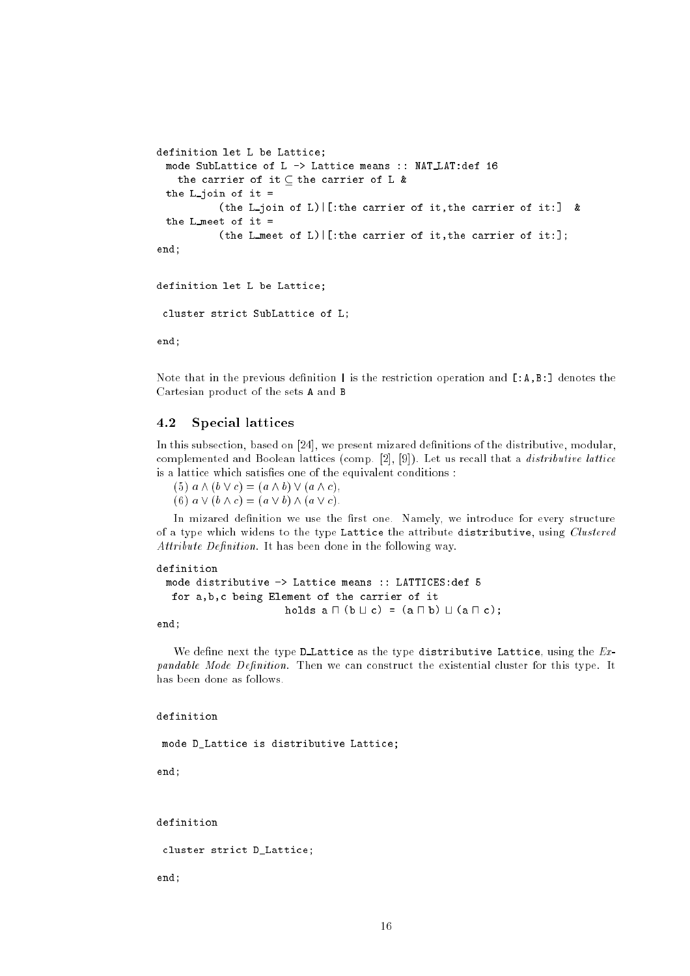```
definition let L be Lattice;
 mode SubLattice of L -> Lattice means :: NAT LAT:def 16
   the carrier of it \subseteq the carrier of L &
 the L-join of it =
           (the L join of L)|[:the carrier of it,the carrier of it:] &
 the L meet of it =
           (the L meet of L) | [:the carrier of it, the carrier of it:];
end;
```
definition let L be Lattice;

cluster strict SubLattice of L;

end;

Note that in the previous definition  $\vert$  is the restriction operation and  $[ A, B, ]$  denotes the Cartesian product of the sets A and B

#### 4.2Special lattices

In this subsection, based on  $[24]$ , we present mizared definitions of the distributive, modular, complemented and Boolean lattices (comp.  $[2]$ ,  $[9]$ ). Let us recall that a *distributive lattice* is a lattice which satisfies one of the equivalent conditions :

(5)  $a \wedge (b \vee c) = (a \wedge b) \vee (a \wedge c),$ (6)  $a \vee (b \wedge c) = (a \vee b) \wedge (a \vee c).$ 

In mizared definition we use the first one. Namely, we introduce for every structure of a type which widens to the type Lattice the attribute distributive, using Clustered  $Attribute\;Definition.$  It has been done in the following way.

```
definition
 mode distributive -> Lattice means :: LATTICES:def 5
   for a,b,c being Element of the carrier of it
                         holds a \sqcap (b \sqcup c) = (a \sqcap b) \sqcup (a \sqcap c);
```
end;

We define next the type D Lattice as the type distributive Lattice, using the  $Ex$ pandable Mode Definition. Then we can construct the existential cluster for this type. It has been done as follows.

### definition

mode D\_Lattice is distributive Lattice;

end;

definition

cluster strict D\_Lattice;

end;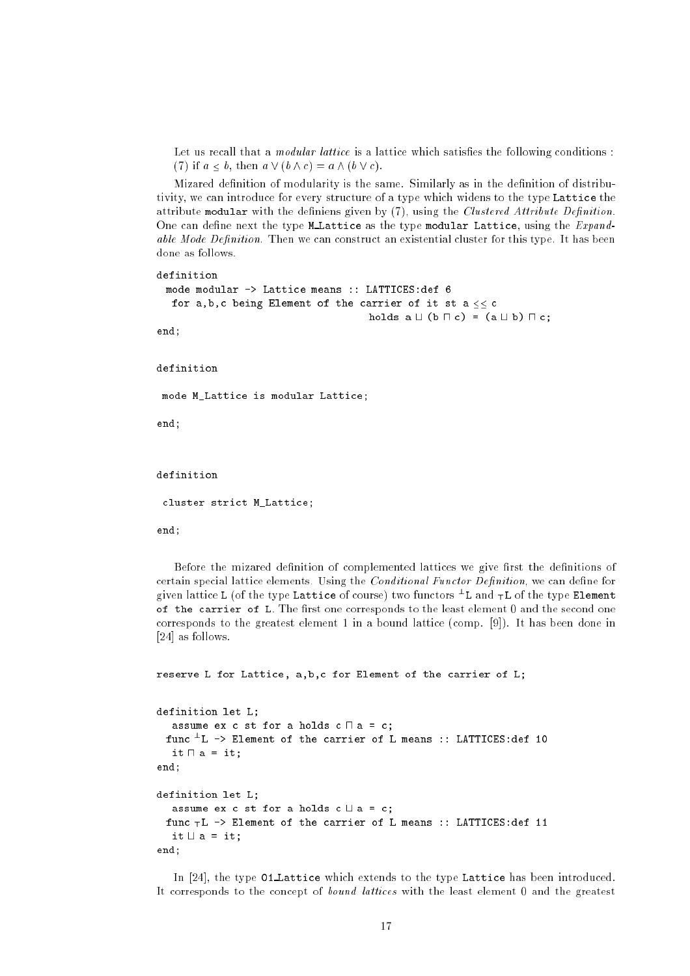Let us recall that a *modular lattice* is a lattice which satisfies the following conditions: (7) if  $a \leq b$ , then  $a \vee (b \wedge c) = a \wedge (b \vee c)$ .

Mizared definition of modularity is the same. Similarly as in the definition of distributivity, we can introduce for every structure of a type which widens to the type Lattice the attribute modular with the definiens given by  $(7)$ , using the *Clustered Attribute Definition*. One can define next the type M Lattice as the type modular Lattice, using the  $Expand$ able Mode Definition. Then we can construct an existential cluster for this type. It has been done as follows.

definition

```
mode modular -> Lattice means :: LATTICES:def 6
 for a,b,c being Element of the carrier of it st a \leq\leq c
                                        holds a \sqcup (b \sqcap c) = (a \sqcup b) \sqcap c;
```
end;

definition

mode M\_Lattice is modular Lattice;

end;

definition

cluster strict M\_Lattice;

end;

Before the mizared definition of complemented lattices we give first the definitions of certain special lattice elements. Using the *Conditional Functor Definition*, we can define for given lattice L (of the type Lattice of course) two functors ? L and ><sup>L</sup> of the type Element of the carrier of L. The first one corresponds to the least element  $0$  and the second one corresponds to the greatest element 1 in a bound lattice (comp. [9]). It has been done in [24] as follows.

```
reserve L for Lattice, a,b,c for Element of the carrier of L;
definition let L;
    assume ex c st for a holds c \sqcap a = c;
   func ?
L -> Element of the carrier of L means :: LATTICES:def 10
    it \Box a = it;
end:
end; and the contract of the contract of the contract of the contract of the contract of the contract of the contract of the contract of the contract of the contract of the contract of the contract of the contract of the c
definition let L:
definition let L and L and L and L and L and L and L and L and Lassume ex c st for a holds c \sqcup a = c;
   func >L -> Element of the carrier of L means :: LATTICES:def 11
     it \sqcup a = it;
end;
```
In [24], the type 01 Lattice which extends to the type Lattice has been introduced. It corresponds to the concept of bound lattices with the least element 0 and the greatest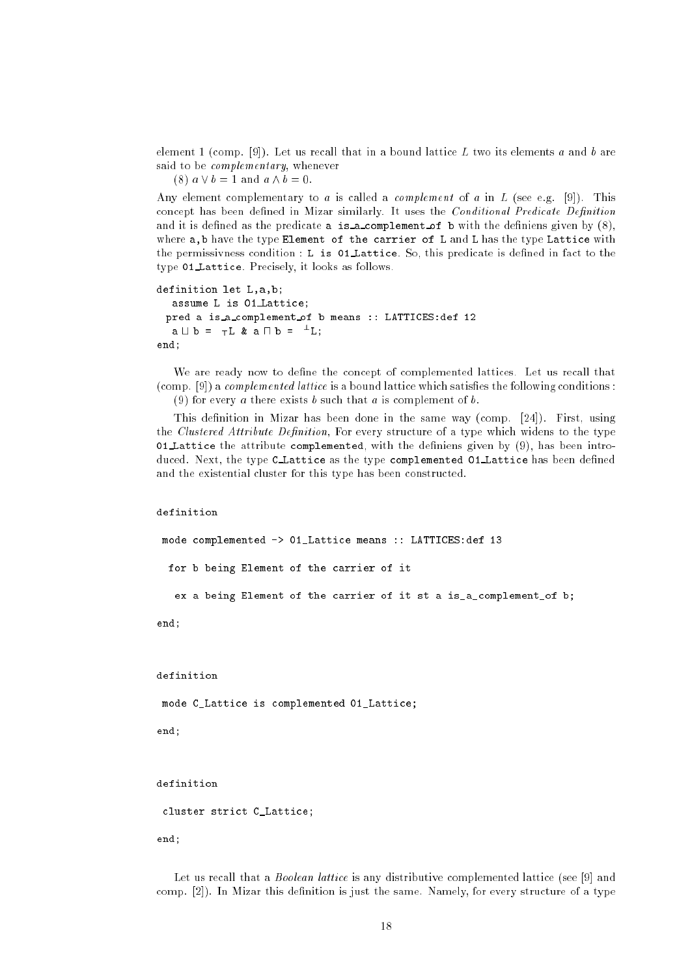element 1 (comp. [9]). Let us recall that in a bound lattice L two its elements a and b are said to be *complementary*, whenever

(8)  $a \vee b = 1$  and  $a \wedge b = 0$ .

Any element complementary to a is called a *complement* of a in L (see e.g. [9]). This concept has been defined in Mizar similarly. It uses the *Conditional Predicate Definition* and it is defined as the predicate a is a complement of b with the definiens given by  $(8)$ , where a, b have the type Element of the carrier of L and L has the type Lattice with the permissivness condition : L is 01 Lattice. So, this predicate is dened in fact to the type <sup>01</sup> Lattice. Precisely, it looks as follows.

```
definition let L,a,b;
   assume L is 01 Lattice;
  pred a is a complement of b means :: LATTICES:def 12
    \mathtt{a} \sqcup \mathtt{b} = \topL & \mathtt{a} \sqcup \mathtt{b} = \topL;
end;
```
We are ready now to define the concept of complemented lattices. Let us recall that  $(\text{comp. } [9])$  a *complemented lattice* is a bound lattice which satisfies the following conditions : (9) for every a there exists b such that a is complement of b.

This definition in Mizar has been done in the same way (comp.  $[24]$ ). First, using the *Clustered Attribute Definition*, For every structure of a type which widens to the type 01 Lattice the attribute complemented, with the definiens given by  $(9)$ , has been introduced. Next, the type CLattice as the type complemented 01 Lattice has been defined and the existential cluster for this type has been constructed.

### definition

mode complemented -> 01\_Lattice means :: LATTICES:def 13 for b being Element of the carrier of it ex a being Element of the carrier of it st a is\_a\_complement\_of b;

end;

definition

mode C\_Lattice is complemented 01\_Lattice;

end;

definition

cluster strict C\_Lattice;

end;

Let us recall that a *Boolean lattice* is any distributive complemented lattice (see [9] and comp.  $[2]$ ). In Mizar this definition is just the same. Namely, for every structure of a type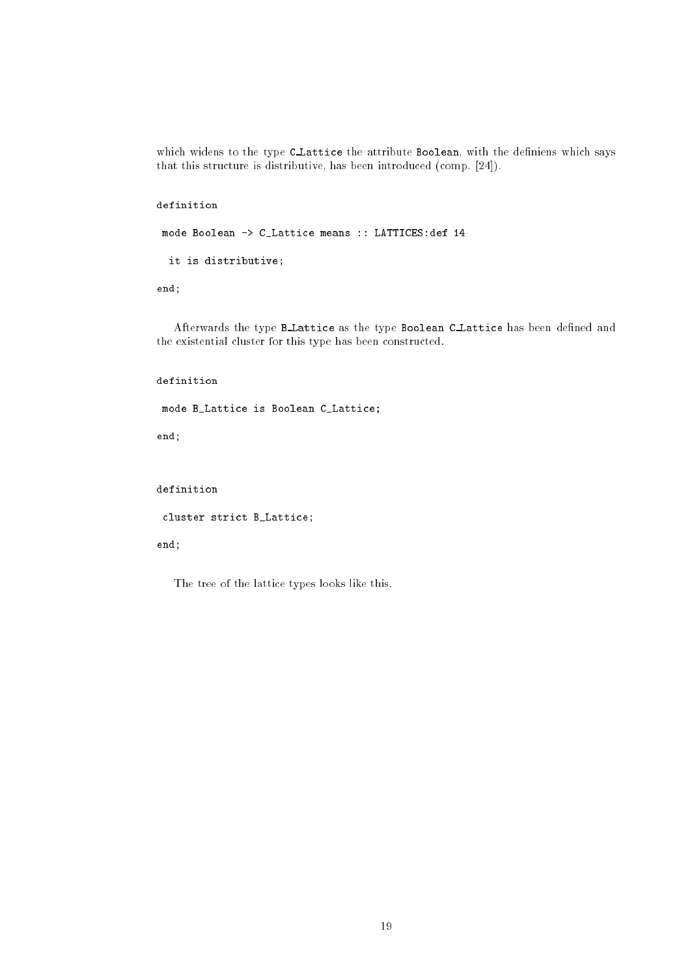which widens to the type C\_Lattice the attribute Boolean, with the definiens which says that this structure is distributive, has been introduced (comp. [24]).

definition

```
mode Boolean -> C_Lattice means :: LATTICES:def 14
```
it is distributive;

end;

Afterwards the type B\_Lattice as the type Boolean C\_Lattice has been defined and the existential cluster for this type has been constructed.

```
definition
```

```
mode B_Lattice is Boolean C_Lattice;
```
end;

definition

cluster strict B\_Lattice;

end;

The tree of the lattice types looks like this.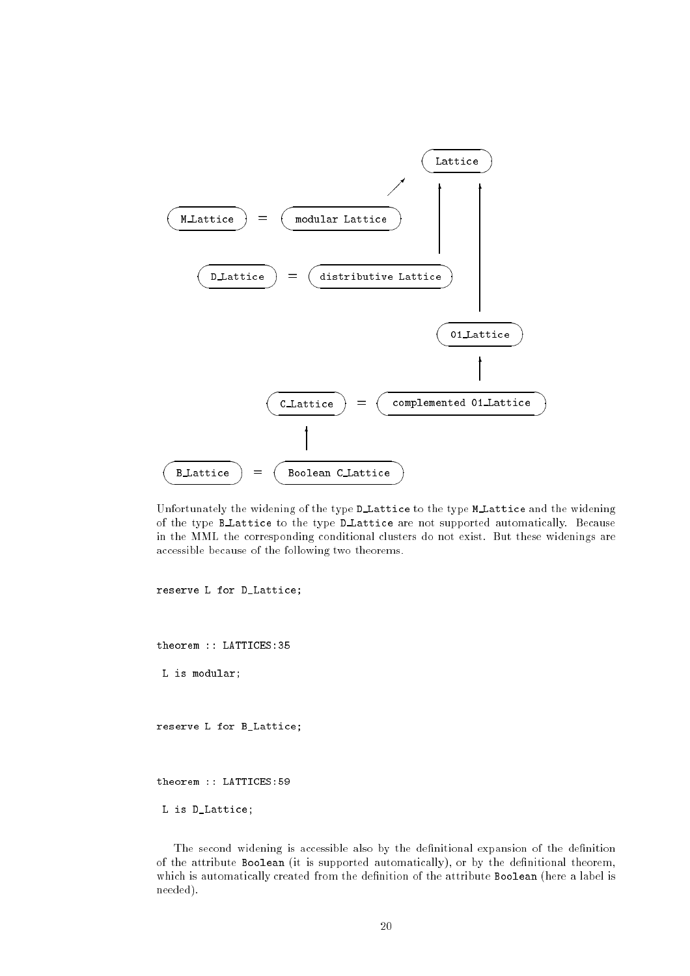

Unfortunately the widening of the type D Lattice to the type M Lattice and the widening of the type B Lattice to the type D Lattice are not supported automatically. Because in the MML the corresponding conditional clusters do not exist. But these widenings are accessible because of the following two theorems.

reserve L for D\_Lattice;

theorem :: LATTICES:35

L is modular;

reserve L for B\_Lattice;

theorem :: LATTICES:59

L is D\_Lattice;

The second widening is accessible also by the definitional expansion of the definition of the attribute Boolean (it is supported automatically), or by the definitional theorem, which is automatically created from the definition of the attribute Boolean (here a label is needed).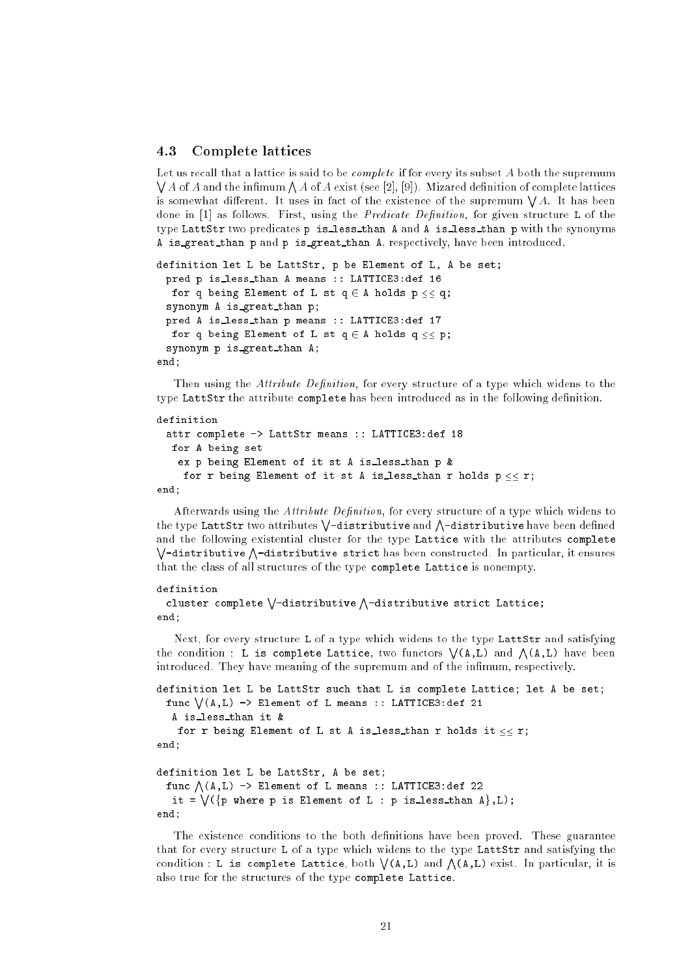#### 4.3Complete lattices

Let us recall that a lattice is said to be *complete* if for every its subset A both the supremum  $\bigvee A$  of A and the infimum  $\bigwedge A$  of A exist (see [2], [9]). Mizared definition of complete lattices is somewhat different. It uses in fact of the existence of the supremum  $\forall A$ . It has been done in  $[1]$  as follows. First, using the *Predicate Definition*, for given structure L of the type LattStr two predicates <sup>p</sup> is less than A and A is less than p with the synonyms A is great than p and p is great than A, respectively, have been introduced.

```
definition let L be LattStr, p be Element of L, A be set;
 pred p is less than A means :: LATTICE3:def 16
  for q being Element of L st q \in A holds p \ll q;
 synonym A is great than p;
 pred A is less than p means :: LATTICE3:def 17
  for q being Element of L st q \in A holds q \leq p;
 synonym p is great than A;
end;
```
Then using the *Attribute Definition*, for every structure of a type which widens to the type LattStr the attribute complete has been introduced as in the following definition.

## definition

```
attr complete -> LattStr means :: LATTICE3:def 18
  for A being set
   ex p being Element of it st A is less than p &
    for r being Element of it st A is less than r holds p \leq r;
end;
```
Afterwards using the *Attribute Definition*, for every structure of a type which widens to the type LattStr two attributes  $\bigvee$ -distributive and  $\bigwedge$ -distributive have been defined and the following existential cluster for the type Lattice with the attributes complete <sup>W</sup> -distributive <sup>V</sup> -distributive strict has been constructed. In particular, it ensures that the class of all structures of the type complete Lattice is nonempty.

## definition

```
cluster complete \setminus-distributive \wedge-distributive strict Lattice;
end;
```
Next, for every structure L of a type which widens to the type LattStr and satisfying the condition : L is complete Lattice, two functors  $\setminus (A,L)$  and  $\bigwedge (A,L)$  have been introduced. They have meaning of the supremum and of the infimum, respectively.

```
definition let L be LattStr such that L is complete Lattice; let A be set;
   func \sqrt{(A,L)} \rightarrow Element of L means :: LATTICE3:def 21
     A is less than it &
      for r being Element of L st A is less than r holds it \leq\leq r;
end:end; and the contract of the contract of the contract of the contract of the contract of the contract of the contract of the contract of the contract of the contract of the contract of the contract of the contract of the c
definition let L be LattStr, A be set;
```

```
func \wedge (A,L) \rightarrow Element of L means :: LATTICE3:def 22
   it = \setminus (\{p \text{ where } p \text{ is Element of } L : p \text{ is less than } A\}, L);end;
```
The existence conditions to the both definitions have been proved. These guarantee that for every structure L of a type which widens to the type LattStr and satisfying the condition : L is complete Lattice, both  $\setminus$  (A,L) and  $\bigwedge$  (A,L) exist. In particular, it is also true for the structures of the type complete Lattice.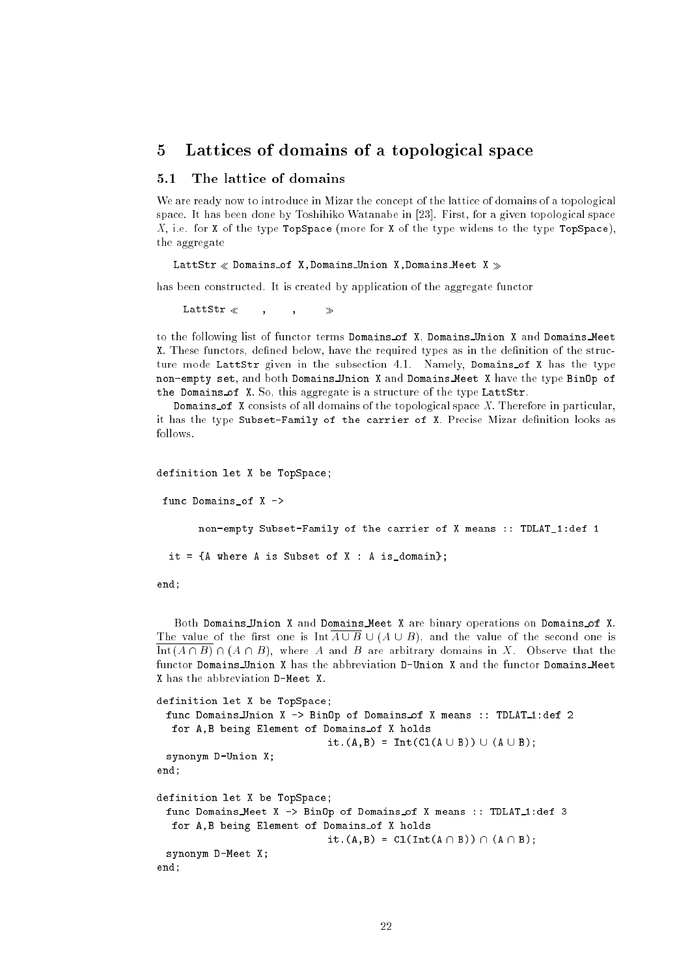#### 5 Lattices of domains of a topological space

#### The lattice of domains  $5.1$

We are ready now to introduce in Mizar the concept of the lattice of domains of a topological space. It has been done by Toshihiko Watanabe in [23]. First, for a given topological space X, i.e. for X of the type TopSpace (more for X of the type widens to the type TopSpace), the aggregate

### LattStr  $\ll$  Domains of X, Domains Union X, Domains Meet X  $\gg$

has been constructed. It is created by application of the aggregate functor

 $\mathtt{LattStr} \begin{array}{lcl} \times \end{array} \qquad , \qquad \textcolor{red} \text{\normalsize ,} \qquad \textcolor{red} \gg$ 

to the following list of functor terms Domains of X, Domains Union <sup>X</sup> and Domains Meet **X**. These functors, defined below, have the required types as in the definition of the structure mode LattStr given in the subsection 4.1. Namely, Domains of X has the type non-empty set, and both Domains Union X and Domains Meet X have the type BinOp of the Domains of X. So, this aggregate is a structure of the type LattStr.

**Domains of X** consists of all domains of the topological space X. Therefore in particular, it has the type Subset-Family of the carrier of X. Precise Mizar definition looks as

```
definition let X be TopSpace;
```
func Domains of  $X \rightarrow$ 

non-empty Subset-Family of the carrier of X means :: TDLAT\_1:def 1

it =  ${A}$  where A is Subset of X : A is\_domain};

end;

Both Domains Union X and Domains Meet X are binary operations on Domains of X. The value of the first one is  $\text{Int } \overline{A \cup B} \cup (A \cup B)$ , and the value of the second one is Int  $(A \cap B) \cap (A \cap B)$ , where A and B are arbitrary domains in X. Observe that the functor Domains Union X has the abbreviation D-Union X and the functor Domains Meet X has the abbreviation D-Meet X.

```
definition let X be TopSpace;
 func Domains Union X -> BinOp of Domains of X means :: TDLAT 1:def 2
  for A,B being Element of Domains of X holds
                              it.(A,B) = Int(Cl(A \cup B)) \cup (A \cup B);synonym D-Union X;
end;
definition let X be TopSpace;
 func Domains Meet X -> BinOp of Domains of X means :: TDLAT_1:def 3
  for A,B being Element of Domains of X holds
                              it.(A,B) = Cl(Int(A \cap B)) \cap (A \cap B);synonym D-Meet X;
end;
```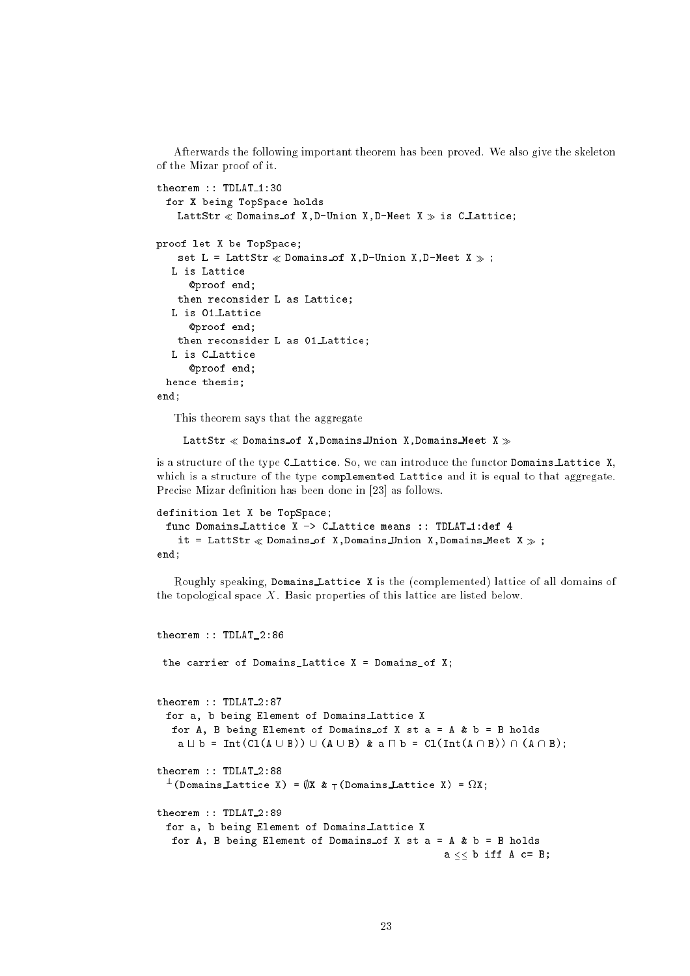Afterwards the following important theorem has been proved. We also give the skeleton of the Mizar proof of it.

```
theorem :: TDLAT_1:30
 for X being TopSpace holds
   LattStr \ll Domains of X, D-Union X, D-Meet X \gg is C_Lattice;
proof let X be TopSpace;
   set L = LattStr \ll Domains of X, D-Union X, D-Meet X \gg;
  L is Lattice
     @proof end;
   then reconsider L as Lattice;
  L is 01 Lattice
     @proof end;
   then reconsider L as 01 Lattice;
  L is C Lattice
     @proof end;
 hence thesis;
end;
```
This theorem says that the aggregate

LattStr  $\ll$  Domains of X, Domains Union X, Domains Meet X  $\gg$ 

is a structure of the type C Lattice. So, we can introduce the functor Domains Lattice X, which is a structure of the type complemented Lattice and it is equal to that aggregate. Precise Mizar definition has been done in [23] as follows.

```
definition let X be TopSpace;
 func Domains Lattice X -> C_Lattice means :: TDLAT_1:def 4
   it = LattStr \ll Domains of X, Domains Union X, Domains Meet X \gg;
end:end;
```
Roughly speaking, Domains Lattice X is the (complemented) lattice of all domains of the topological space  $X$ . Basic properties of this lattice are listed below.

```
theorem :: TDLAT_2:86
 the carrier of Domains_Lattice X = Domains_of X;
theorem :: TDLAT_2:87
 for a, b being Element of Domains Lattice X
  for A, B being Element of Domains of X st a = A \& b = B holds
    a \sqcup b = Int(Cl(A \cup B)) \cup (A \cup B) & a \sqcap b = Cl(Int(A \cap B)) \cap (A \cap B);theorem :: TDLAT 2:88
  \top(Domains Lattice X) = \psiX & \top(Domains Lattice X) = \deltaZX;
theorem :: TDLAT_2:89
 for a, b being Element of Domains Lattice X
  for A, B being Element of Domains of X st a = A \& b = B holds
                                                     a \leq b iff A c= B;
```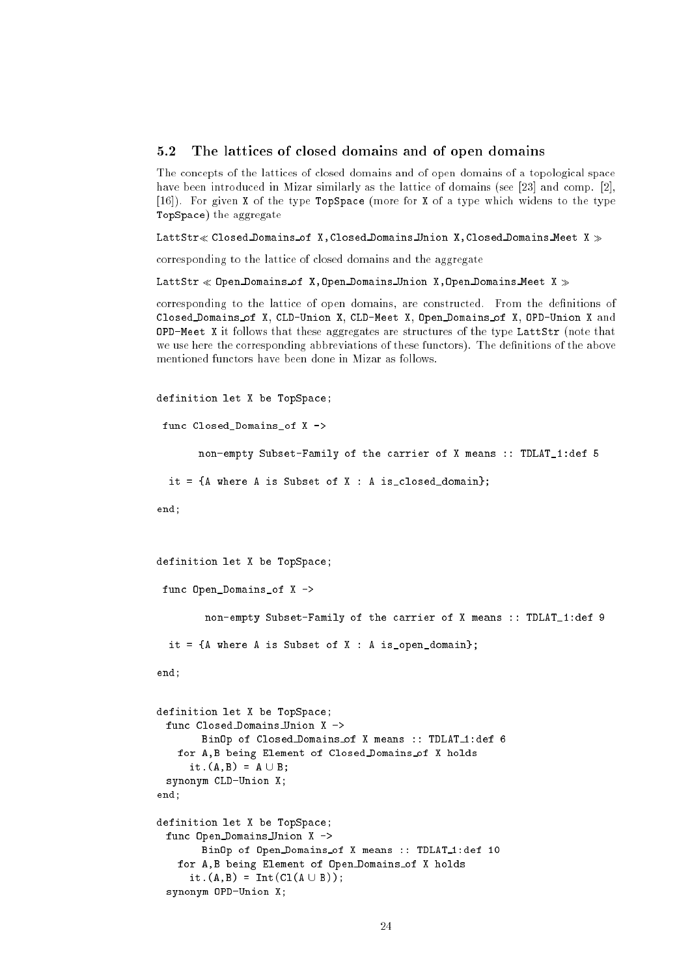#### $5.2$  The lattices of closed domains and of open domains  $-2$

The concepts of the lattices of closed domains and of open domains of a topological space have been introduced in Mizar similarly as the lattice of domains (see [23] and comp. [2], [16]). For given X of the type TopSpace (more for X of a type which widens to the type TopSpace) the aggregate

LattStr $\ll$  Closed Domains of X, Closed Domains Union X, Closed Domains Meet X  $\gg$ 

corresponding to the lattice of closed domains and the aggregate

LattStr  $\ll$  Open Domains of X, Open Domains Union X, Open Domains Meet X  $\gg$ 

corresponding to the lattice of open domains, are constructed. From the definitions of Closed Domains of X, CLD-Union X, CLD-Meet X, Open Domains of X, OPD-Union X and **OPD-Meet X** it follows that these aggregates are structures of the type LattStr (note that we use here the corresponding abbreviations of these functors). The definitions of the above

```
definition let X be TopSpace;
```

```
func Closed_Domains_of X ->
```
non-empty Subset-Family of the carrier of X means :: TDLAT\_1:def 5

```
it = {A} where A is Subset of X : A is_closed_domain};
```
 $end:$ end;

```
definition let X be TopSpace;
```
func Open\_Domains\_of X ->

non-empty Subset-Family of the carrier of X means :: TDLAT\_1:def 9

```
it = {A} where A is Subset of X : A is_open_domain};
```
end;

```
definition let X be TopSpace;
   func Closed Domains Union X ->
             BinOp of Closed_Domains_of X means :: TDLAT_1:def 6
      for A,B being Element of Closed Domains of X holds
         it. (A, B) = A \cup B;synonym CLD-Union X;
end:
end; and the contract of the contract of the contract of the contract of the contract of the contract of the contract of the contract of the contract of the contract of the contract of the contract of the contract of the c
definition let X be TopSpace;
   func Open Domains Union X ->
             BinOp of Open Domains of X means :: TDLAT_1:def 10
```

```
for A,B being Element of Open Domains of X holds
```

```
it.(A,B) = Int(Cl(A \cup B));
synonym OPD-Union X;
```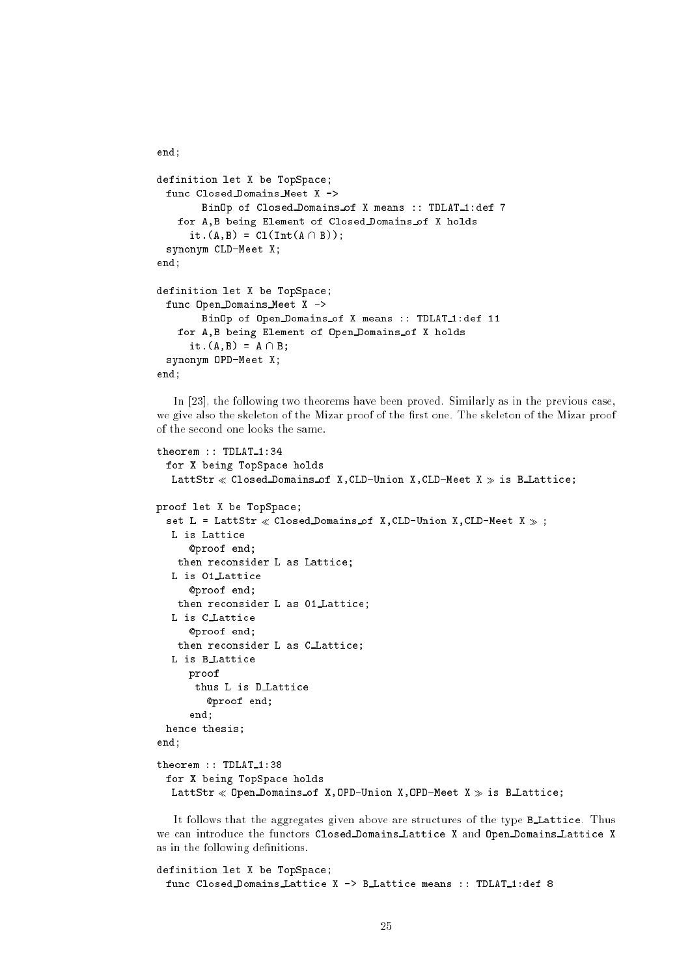```
definition let X be TopSpace;
 func Closed Domains Meet X ->
       BinOp of Closed Domains of X means :: TDLAT 1:def 7
   for A,B being Element of Closed Domains of X holds
     it.(A,B) = CL(Int(A \cap B));synonym CLD-Meet X;
end;
definition let X be TopSpace;
 func Open Domains Meet X ->
       BinOp of Open Domains of X means :: TDLAT_1:def 11
   for A,B being Element of Open Domains of X holds
     it.(A, B) = A \cap B;
 synonym OPD-Meet X;
end;
```
end;

In [23], the following two theorems have been proved. Similarly as in the previous case, we give also the skeleton of the Mizar proof of the first one. The skeleton of the Mizar proof of the second one looks the same.

```
theorem :: TDLAT_1:34
 for X being TopSpace holds
  LattStr \ll Closed Domains of X, CLD-Union X, CLD-Meet X \gg is B Lattice;
proof let X be TopSpace;
 set L = LattStr \ll Closed Domains of X, CLD-Union X, CLD-Meet X \gg;
  L is Lattice
     @proof end;
   then reconsider L as Lattice;
  L is 01 Lattice
     @proof end;
   then reconsider L as 01 Lattice;
  L is C Lattice
     @proof end;
   then reconsider L as C Lattice;
  L is B Lattice
     proof
      thus L is D.Lattice
         @proof end;
     end;
 hence thesis;
end;
theorem :: TDLAT_1:38
 for X being TopSpace holds
  LattStr \ll Open Domains of X, OPD-Union X, OPD-Meet X \gg is B Lattice;
```
It follows that the aggregates given above are structures of the type BLattice. Thus we can introduce the functors Closed Domains Lattice X and Open Domains Lattice X as in the following definitions.

```
definition let X be TopSpace;
 func Closed Domains Lattice X -> B Lattice means :: TDLAT_1:def 8
```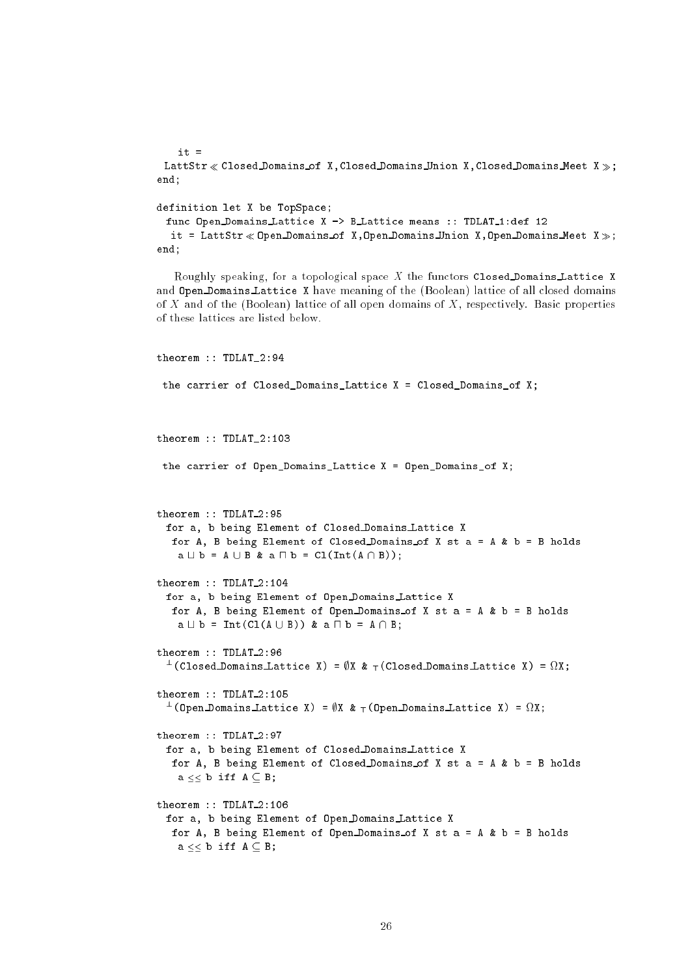$it =$ LattStr  $\ll$  Closed Domains of X, Closed Domains Union X, Closed Domains Meet X  $\gg$ ; end;

### definition let X be TopSpace;

```
func Open Domains Lattice X -> B Lattice means :: TDLAT_1:def 12
  it = LattStr \ll 0 pen Domains of X, Open Domains Union X, Open Domains Meet X \gg;
end;
```
Roughly speaking, for a topological space X the functors Closed Domains Lattice X and Open Domains Lattice X have meaning of the (Boolean) lattice of all closed domains of X and of the (Boolean) lattice of all open domains of  $X$ , respectively. Basic properties of these lattices are listed below.

```
theorem :: TDLAT_2:94
 the carrier of Closed_Domains_Lattice X = Closed_Domains_of X;
theorem :: TDLAT_2:103
 the carrier of Open_Domains_Lattice X = Open_Domains_of X;
theorem :: TDLAT_2:95
 for a, b being Element of Closed Domains Lattice X
  for A, B being Element of Closed Domains of X st a = A & b = B holds
   a \sqcup b = A \cup B & a \sqcap b = CL(Int(A \cap B));theorem :: TDLAT_2:104
 for a, b being Element of Open Domains Lattice X
  for A, B being Element of Open Domains of X st a = A & b = B holds
   a \sqcup b = Int(Cl(A \cup B)) & a \sqcap b = A \cap B;
theorem :: TDLAT_2:96
  \top(Closed Domains Lattice X) = \psiX & \top(Closed Domains Lattice X) = MX;
theorem :: TDLAT 2:105theorem :: TDLAT 2:105
  \top(Upen Domains Lattice X) = \psiX & \top(Upen Domains Lattice X) = \deltaZX;
theorem :: TDLAT_2:97
 for a, b being Element of Closed Domains Lattice X
  for A, B being Element of Closed Domains of X st a = A & b = B holds
   a \leq b iff A \subseteq B;
theorem :: TDLAT_2:106
 for a, b being Element of Open Domains Lattice X
  for A, B being Element of Open Domains of X st a = A \& b = B holds
   a \leq b iff A \subseteq B;
```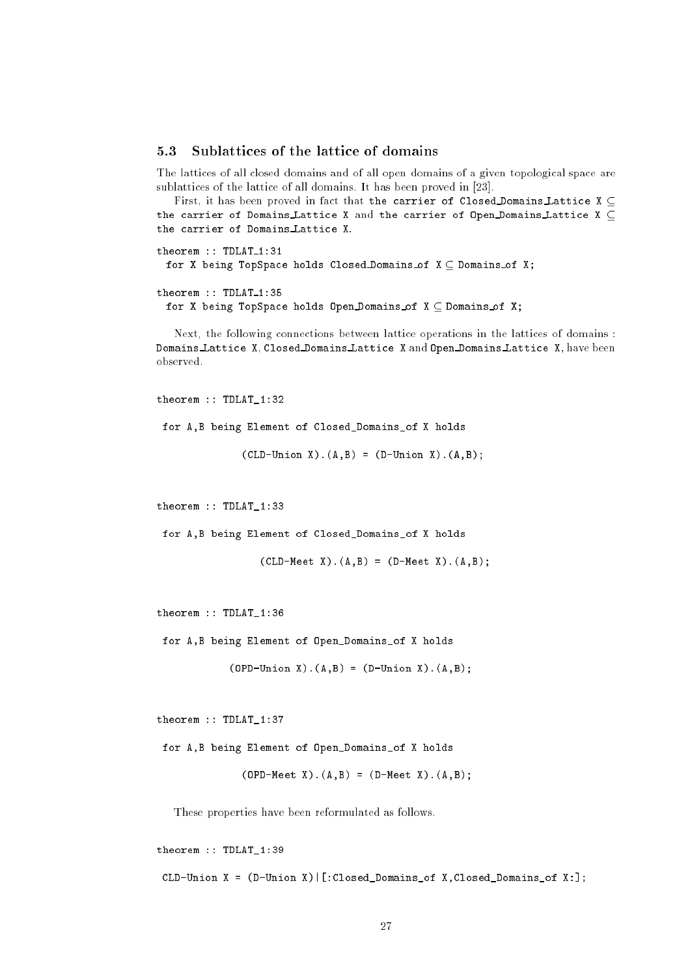#### Sublattices of the lattice of domains  $5.3$ 5.3

The lattices of all closed domains and of all open domains of a given topological space are sublattices of the lattice of all domains. It has been proved in [23].

First, it has been proved in fact that the carrier of Closed Domains Lattice  $X \subseteq$ the carrier of Domains Lattice X and the carrier of Open Domains Lattice X  $\subset$ the carrier of Domains Lattice X. the carrier of Domains Lattice X. The carrier of Domains Lattice X. The carrier of Domains Lattice X. The carrier of Domains Lattice X. The carrier of Domains Lattice X. The carrier of Domains Lattice X. The carrier of Dom

```
theorem :: TDLAT_1:31
 for X being TopSpace holds Closed Domains of X \subseteq Domains of X;
theorem :: TDLAT_1:35
```
for X being TopSpace holds Open Domains of  $X \subseteq$  Domains of X;

Next, the following connections between lattice operations in the lattices of domains : Domains Lattice X, Closed Domains Lattice <sup>X</sup> and Open Domains Lattice X, have been observed.

```
theorem :: TDLAT_1:32
 for A,B being Element of Closed_Domains_of X holds
```
 $(CLD-Union X) .(A, B) = (D-Union X) .(A, B);$ 

theorem :: TDLAT\_1:33

for A,B being Element of Closed\_Domains\_of X holds

 $(CLD-Meet X) . (A, B) = (D-Meet X) . (A, B);$ 

theorem :: TDLAT\_1:36

for A,B being Element of Open\_Domains\_of X holds

 $(DPD-Union X) .(A, B) = (D-Union X) .(A, B);$ 

theorem :: TDLAT\_1:37

for A,B being Element of Open\_Domains\_of X holds

 $(DPD-Meet X) . (A, B) = (D-Meet X) . (A, B);$ 

These properties have been reformulated as follows.

theorem :: TDLAT\_1:39 CLD-Union X = (D-Union X)|[:Closed\_Domains\_of X,Closed\_Domains\_of X:];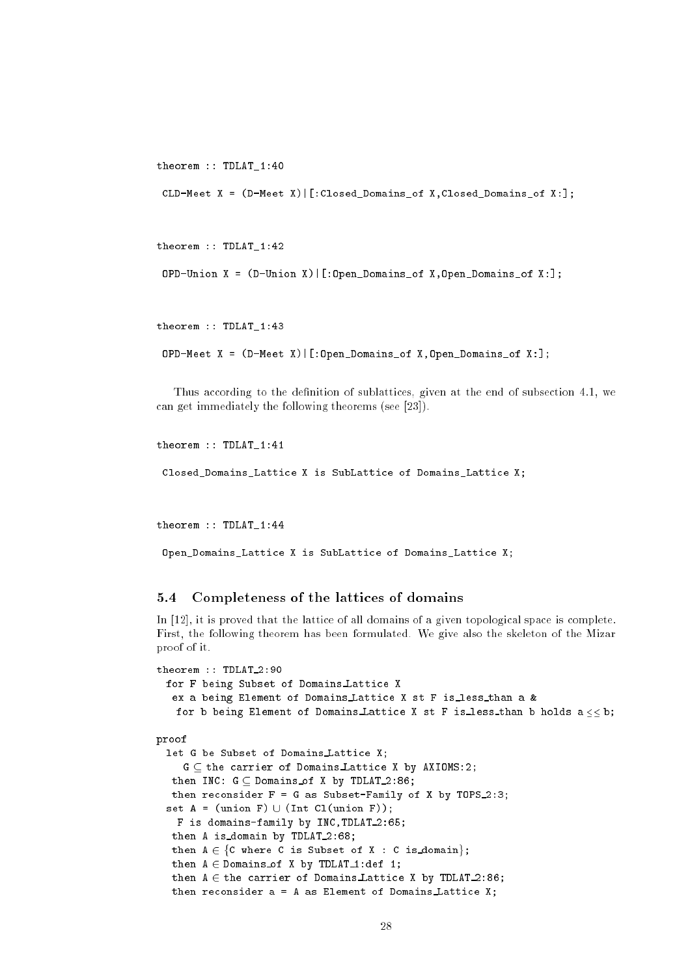```
theorem :: TDLAT_1:40
 CLD-Meet X = (D-Meet X)|[:Closed_Domains_of X,Closed_Domains_of X:];
```

```
theorem :: TDLAT_1:42
 OPD-Union X = (D-Union X) | [.Open\_DomainS_of X, Open\_DomainS_of X: ];
```
theorem :: TDLAT\_1:43

```
OPD-Meet X = (D-Meet X)|[:Open_Domains_of X,Open_Domains_of X:];
```
Thus according to the definition of sublattices, given at the end of subsection 4.1, we can get immediately the following theorems (see [23]).

```
theorem :: TDLAT_1:41
 Closed_Domains_Lattice X is SubLattice of Domains_Lattice X;
```

```
theorem :: TDLAT_1:44
```
Open\_Domains\_Lattice X is SubLattice of Domains\_Lattice X;

#### 5.4Completeness of the lattices of domains

In [12], it is proved that the lattice of all domains of a given topological space is complete. First, the following theorem has been formulated. We give also the skeleton of the Mizar proof of it.

```
theorem :: TDLAT_2:90
 for F being Subset of Domains Lattice X
   ex a being Element of Domains Lattice X st F is less than a &
   for b being Element of Domains Lattice X st F is less than b holds a \leq b;
proof
  let G be Subset of Domains Lattice X;
     G \subseteq the carrier of Domains Lattice X by AXIOMS:2;
  then INC: G \subset Domains of X by TDLAT 2:86;
  then reconsider F = G as Subset-Family of X by TOPS 2:3;
  set A = (union F) \cup (Int Cl(union F));F is domains-family by INC, TDLAT 2:65;
  then A is_domain by TDLAT_2:68;
  then A \in \{C where C is Subset of X : C is domain};
  then A \in Domains of X by TDLAT<sub>1</sub>:def 1;
  then A \in the carrier of Domains Lattice X by TDLAT 2:86;
  then reconsider a = A as Element of Domains Lattice X;
```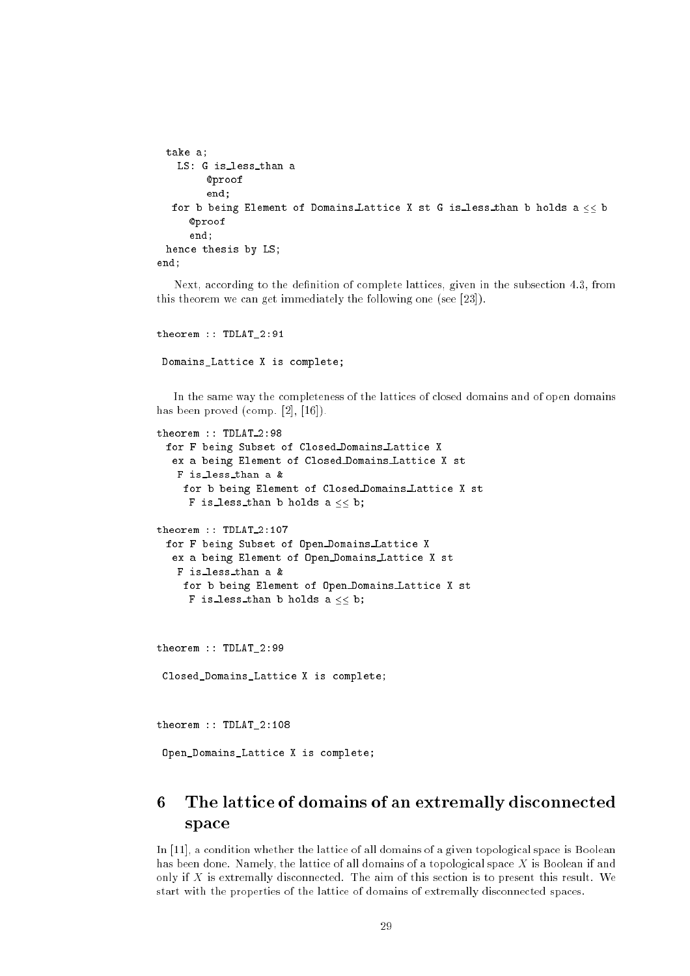```
take a;
   LS: G is less than a
        @proof
        end;
  for b being Element of Domains Lattice X st G is less than b holds a \leq b@proof
     end;
 hence thesis by LS;
end;
```
Next, according to the definition of complete lattices, given in the subsection 4.3, from this theorem we can get immediately the following one (see [23]).

```
theorem :: TDLAT_2:91
```
Domains\_Lattice X is complete;

In the same way the completeness of the lattices of closed domains and of open domains has been proved (comp. [2], [16]).

```
theorem :: TDLAT_2:98
 for F being Subset of Closed Domains Lattice X
  ex a being Element of Closed Domains Lattice X st
   F is less than a &
    for b being Element of Closed Domains Lattice X st
     F is less than b holds a \ll b;
theorem :: TDLAT_2:107
 for F being Subset of Open Domains Lattice X
  ex a being Element of Open Domains Lattice X st
   F is less than a &
    for b being Element of Open Domains Lattice X st
     F is less than b holds a \ll b;
theorem :: TDLAT_2:99
 Closed_Domains_Lattice X is complete;
theorem :: TDLAT_2:108
```
Open\_Domains\_Lattice X is complete;

# 6 The lattice of domains of an extremally disconnected space

In [11], a condition whether the lattice of all domains of a given topological space is Boolean has been done. Namely, the lattice of all domains of a topological space X is Boolean if and only if X is extremally disconnected. The aim of this section is to present this result. We start with the properties of the lattice of domains of extremally disconnected spaces.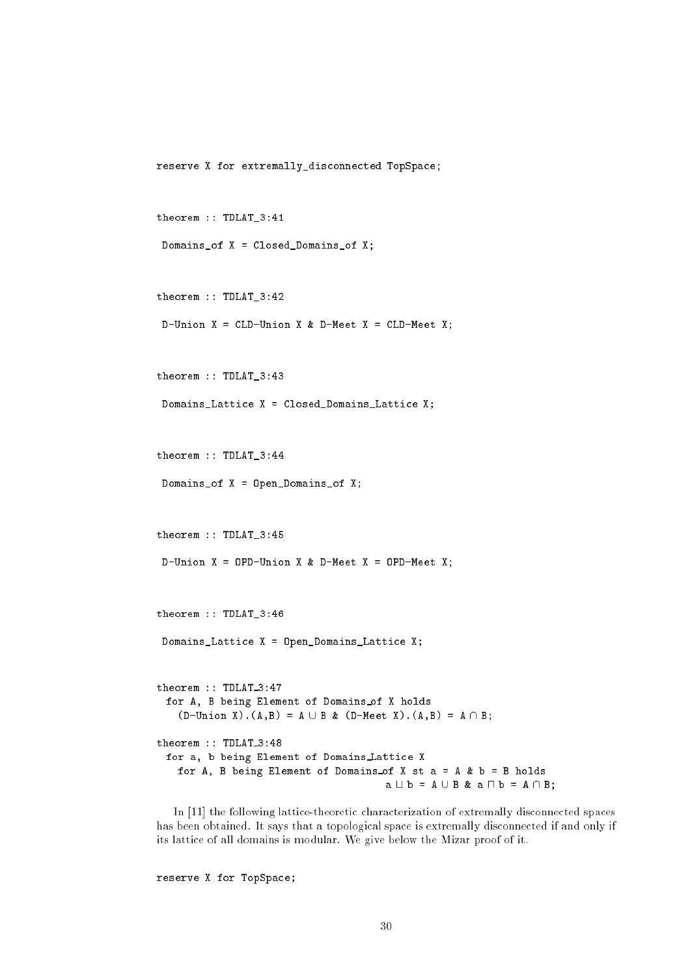reserve X for extremally\_disconnected TopSpace;

```
theorem :: TDLAT_3:41
```

```
Domains_of X = Closed_Domains_of X;
```

```
theorem :: TDLAT_3:42
```

```
D-Union X = CLD-Union X & D-Meet X = CLD-Meet X;
```

```
theorem :: TDLAT_3:43
```
Domains\_Lattice X = Closed\_Domains\_Lattice X;

```
theorem :: TDLAT_3:44
```

```
Domains_of X = Open_Domains_of X;
```
theorem :: TDLAT\_3:45

```
D-Union X = OPD-Union X \& D-Meet X = OPD-Meet X;
```
theorem :: TDLAT\_3:46

```
Domains_Lattice X = Open_Domains_Lattice X;
```
theorem :: TDLAT\_3:47 for A, B being Element of Domains of X holds  $(D-Union X) . (A, B) = A \cup B & (D-Meet X) . (A, B) = A \cap B;$ theorem :: TDLAT\_3:48 for a, b being Element of Domains Lattice X for A, B being Element of Domains of X st  $a = A \& b = B$  holds  $a \cup b = A \cup B$  &  $a \cap b = A \cap B$ ;

In [11] the following lattice-theoretic characterization of extremally disconnected spaces has been obtained. It says that a topological space is extremally disconnected if and only if its lattice of all domains is modular. We give below the Mizar proof of it.

reserve X for TopSpace;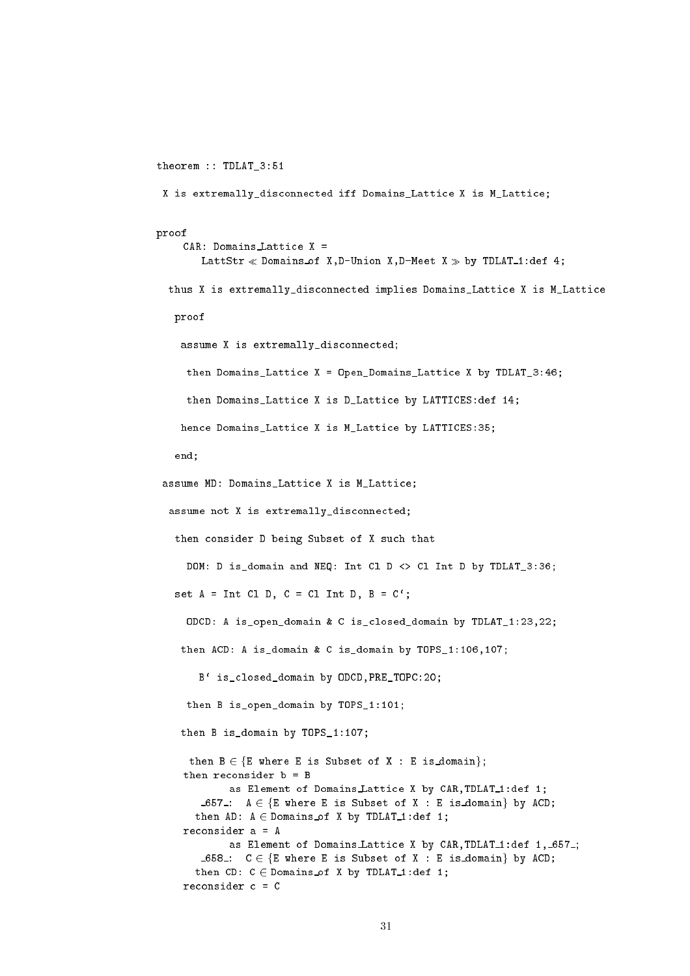theorem :: TDLAT\_3:51

```
X is extremally_disconnected iff Domains_Lattice X is M_Lattice;
```

```
proof
```

```
CAR: Domains Lattice X =
      LattStr \ll Domains of X, D-Union X, D-Meet X \gg by TDLAT_1:def 4;
 thus X is extremally_disconnected implies Domains_Lattice X is M_Lattice
 proof
   assume X is extremally_disconnected;
    then Domains_Lattice X = Open_Domains_Lattice X by TDLAT_3:46;
    then Domains_Lattice X is D_Lattice by LATTICES:def 14;
   hence Domains_Lattice X is M_Lattice by LATTICES:35;
  end;
assume MD: Domains_Lattice X is M_Lattice;
 assume not X is extremally_disconnected;
  then consider D being Subset of X such that
    DOM: D is domain and NEQ: Int Cl D <> Cl Int D by TDLAT 3:36:
  set A = Int C1 D, C = C1 Int D, B = C';
    ODCD: A is_open_domain & C is_closed_domain by TDLAT_1:23,22;
   then ACD: A is_domain & C is_domain by TOPS_1:106,107;
      B` is_closed_domain by ODCD,PRE_TOPC:20;
    then B is_open_domain by TOPS_1:101;
   then B is_domain by TOPS_1:107;
    then B \in \{E where E is Subset of X : E is domain};
   then reconsider b = B
           as Element of Domains Lattice X by CAR, TDLAT_1:def 1;
      \texttt{\_657\_:} A \in {E where E is Subset of X : E is domain} by ACD;
     then AD: A \in Domains of X by TDLAT<sub>1</sub>:def 1;
   reconsider a = A
           as Element of Domains Lattice X by CAR, TDLAT_1:def 1, 657.;
      658: C \in \{E \text{ where } E \text{ is Subset of } X : E \text{ is domain} \} by ACD;
     then CD: C \in Domains of X by TDLAT_1:def 1;
   reconsider c = C
```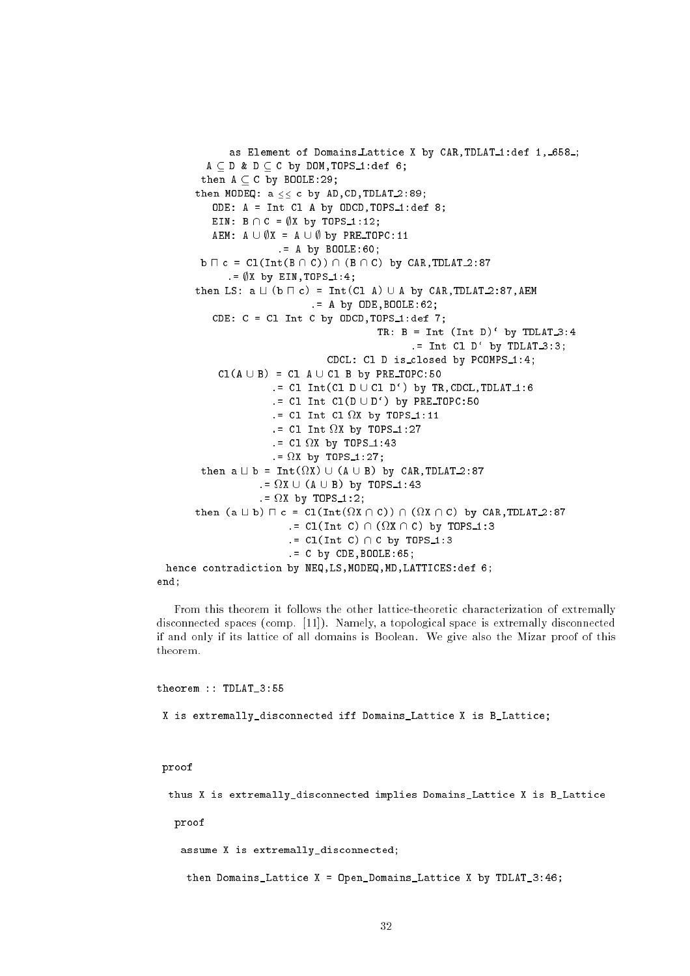```
as Element of Domains Lattice X by CAR, TDLAT_1:def 1, 658_;
              A \subseteq D & D \subseteq C by DOM, TOPS 1:def 6;
            then A \subset C by BOOLE:29;
          then MODEQ: a \leq c by AD, CD, TDLAT 2:89;
                ODE: A = Int Cl A by ODCD, TOPS_1:def 8;
               EIN: B \cap C = \emptyset X by TOPS_1:12;
                AEM: A \cup \emptyset X = A \cup \emptyset by PRE_TOPC:11
                                   .= A by BOOLE:60;
            b \sqcap c = \text{Cl}(\text{Int}(B \cap C)) \cap (B \cap C) by CAR, TDLAT 2:87
                    \thetaX by EIN, TOPS 1:4;
          then LS: a \sqcup (b \sqcap c) = Int(Cl A) \cup A by CAR, TDLAT 2:87, AEM.= A by ODE,BOOLE:62;
                CDE: C = CL Int C by ODCD, TOPS 1: def 7;
                                                                TR: B = Int (Int D)' by TDLAT_3:4:= Int Cl D' by TDLAT_3:3;
                                                  CDCL: Cl D is_closed by PCOMPS_1:4;
                 Cl(A \cup B) = Cl A \cup Cl B by PRE_TOPC:50
                                 .= Cl Int(Cl D \cup Cl D') by TR, CDCL, TDLAT\lrcorner1:6
                                 .= Cl Int Cl(D \cup D') by PRE_TOPC:50
                                 . The classical contract of the classical contract \mathbf{r}_1 is the classical contract of the classical contract of the classical contract of the classical contract of the classical contract of the classical contract of t
                                 . The classical contract of the classical contract \mathbf{r} is the contract of the contract of the contract of the contract of the contract of the contract of the contract of the contract of the contract of the contract o
                                 . The classical contract of the classical contract \mathcal{L} = \mathcal{L} \times \mathcal{L} , where \mathcal{L} = \mathcal{L} \times \mathcal{L}. The state of the state of the state \mathcal{L} by Tops 1:27; \mathcal{L} by Tops 1:27; \mathcal{L}then a t b = Int(
X) [ (A [ B) by CAR,TDLAT 2:87
                              .= 
X [ (A [ B) by TOPS 1:43
                              \blacksquarethen \{ x \equiv x \} . Then \{ x \equiv x \} is \{ x \equiv x \} , \{ x \equiv x \} . Then \{ x \equiv x \}.= Cl(Int C) \ (
X \ C) by TOPS 1:3
                                      .5 Cl(Int C) \cap C by TOPS 1:3
                                      .= C by CDE,BOOLE:65;
  hence contradiction by NEQ,LS,MODEQ,MD,LATTICES:def 6;
end;
```
From this theorem it follows the other lattice-theoretic characterization of extremally disconnected spaces (comp. [11]). Namely, a topological space is extremally disconnected if and only if its lattice of all domains is Boolean. We give also the Mizar proof of this theorem.

theorem :: TDLAT\_3:55

X is extremally\_disconnected iff Domains\_Lattice X is B\_Lattice;

proof

thus X is extremally\_disconnected implies Domains\_Lattice X is B\_Lattice

proof

assume X is extremally\_disconnected;

then Domains\_Lattice X = Open\_Domains\_Lattice X by TDLAT\_3:46;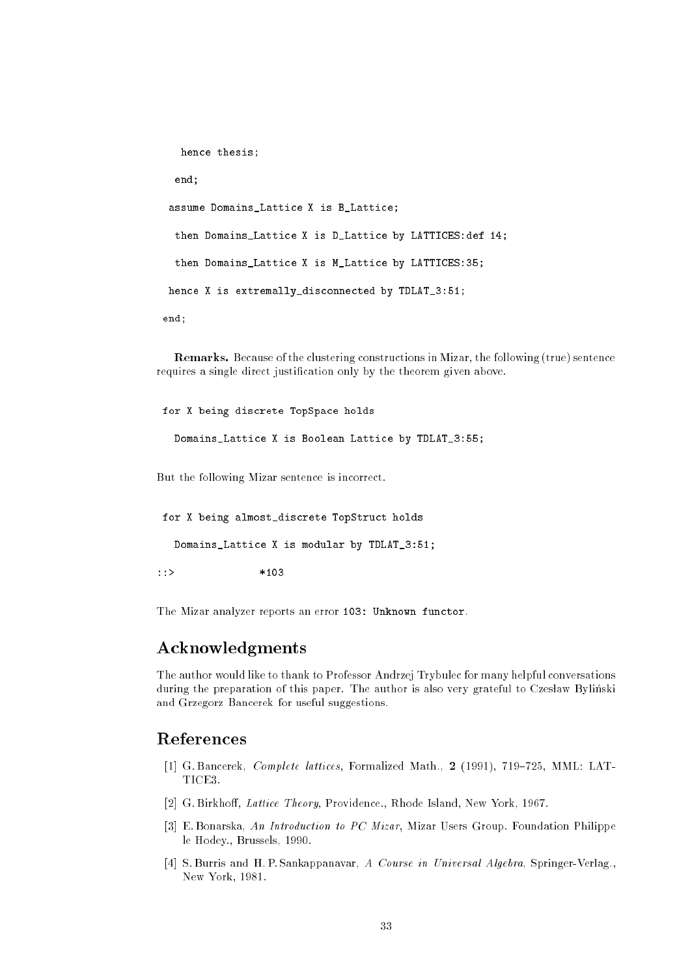```
hence thesis;
  end;
assume Domains_Lattice X is B_Lattice;
 then Domains_Lattice X is D_Lattice by LATTICES:def 14;
 then Domains_Lattice X is M_Lattice by LATTICES:35;
hence X is extremally_disconnected by TDLAT_3:51;
end;
```
Remarks. Because of the clustering constructions in Mizar, the following (true) sentence requires a single direct justification only by the theorem given above.

for X being discrete TopSpace holds

Domains\_Lattice X is Boolean Lattice by TDLAT\_3:55;

But the following Mizar sentence is incorrect.

for X being almost\_discrete TopStruct holds

Domains\_Lattice X is modular by TDLAT\_3:51;

The Mizar analyzer reports an error 103: Unknown functor.

# Acknowledgments

The author would like to thank to Professor Andrzej Trybulec for many helpful conversations during the preparation of this paper. The author is also very grateful to Czesław Byliński and Grzegorz Bancerek for useful suggestions.

# **References**

- [1] G. Bancerek,  $Complete$  lattices, Formalized Math., 2 (1991), 719-725, MML: LAT-TICE3.
- [2] G. Birkhoff, Lattice Theory, Providence., Rhode Island, New York, 1967.
- [3] E. Bonarska, An Introduction to PC Mizar, Mizar Users Group. Foundation Philippe le Hodey., Brussels, 1990.
- [4] S. Burris and H. P. Sankappanavar, A Course in Universal Algebra, Springer-Verlag., New York, 1981.